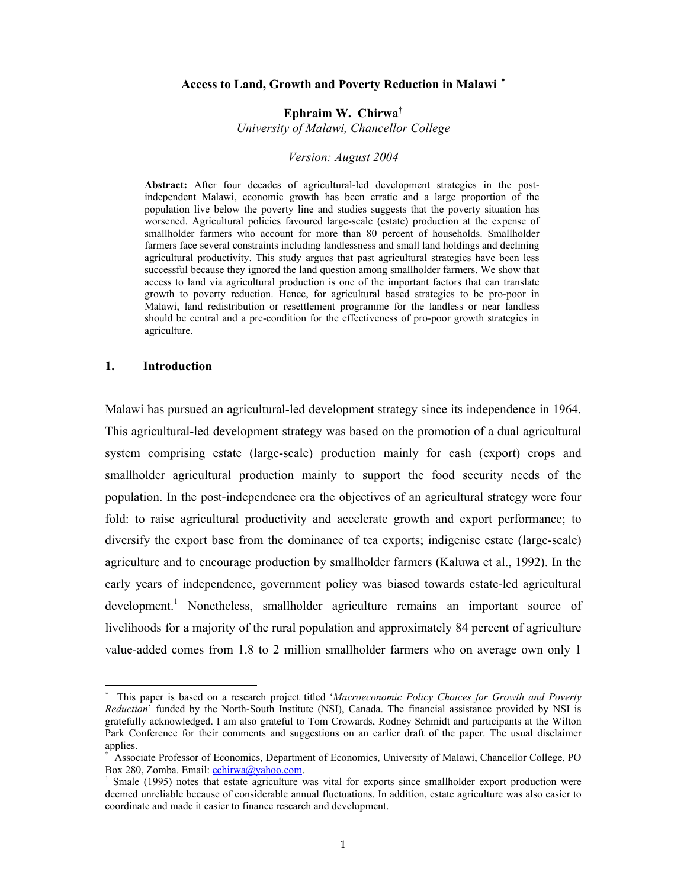#### **Access to Land, Growth and Poverty Reduction in Malawi** <sup>∗</sup>

**Ephraim W. Chirwa†** *University of Malawi, Chancellor College* 

#### *Version: August 2004*

**Abstract:** After four decades of agricultural-led development strategies in the postindependent Malawi, economic growth has been erratic and a large proportion of the population live below the poverty line and studies suggests that the poverty situation has worsened. Agricultural policies favoured large-scale (estate) production at the expense of smallholder farmers who account for more than 80 percent of households. Smallholder farmers face several constraints including landlessness and small land holdings and declining agricultural productivity. This study argues that past agricultural strategies have been less successful because they ignored the land question among smallholder farmers. We show that access to land via agricultural production is one of the important factors that can translate growth to poverty reduction. Hence, for agricultural based strategies to be pro-poor in Malawi, land redistribution or resettlement programme for the landless or near landless should be central and a pre-condition for the effectiveness of pro-poor growth strategies in agriculture.

#### **1. Introduction**

-

Malawi has pursued an agricultural-led development strategy since its independence in 1964. This agricultural-led development strategy was based on the promotion of a dual agricultural system comprising estate (large-scale) production mainly for cash (export) crops and smallholder agricultural production mainly to support the food security needs of the population. In the post-independence era the objectives of an agricultural strategy were four fold: to raise agricultural productivity and accelerate growth and export performance; to diversify the export base from the dominance of tea exports; indigenise estate (large-scale) agriculture and to encourage production by smallholder farmers (Kaluwa et al., 1992). In the early years of independence, government policy was biased towards estate-led agricultural development.<sup>1</sup> Nonetheless, smallholder agriculture remains an important source of livelihoods for a majority of the rural population and approximately 84 percent of agriculture value-added comes from 1.8 to 2 million smallholder farmers who on average own only 1

<sup>∗</sup> This paper is based on a research project titled '*Macroeconomic Policy Choices for Growth and Poverty Reduction*' funded by the North-South Institute (NSI), Canada. The financial assistance provided by NSI is gratefully acknowledged. I am also grateful to Tom Crowards, Rodney Schmidt and participants at the Wilton Park Conference for their comments and suggestions on an earlier draft of the paper. The usual disclaimer applies.

<sup>†</sup> Associate Professor of Economics, Department of Economics, University of Malawi, Chancellor College, PO Box 280, Zomba. Email: echirwa@yahoo.com.

Smale (1995) notes that estate agriculture was vital for exports since smallholder export production were deemed unreliable because of considerable annual fluctuations. In addition, estate agriculture was also easier to coordinate and made it easier to finance research and development.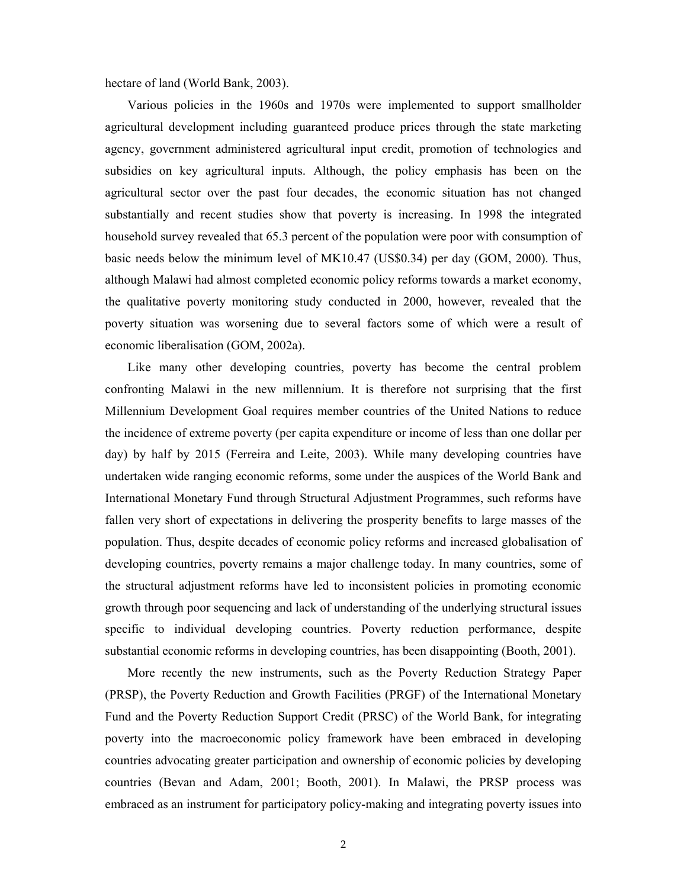hectare of land (World Bank, 2003).

Various policies in the 1960s and 1970s were implemented to support smallholder agricultural development including guaranteed produce prices through the state marketing agency, government administered agricultural input credit, promotion of technologies and subsidies on key agricultural inputs. Although, the policy emphasis has been on the agricultural sector over the past four decades, the economic situation has not changed substantially and recent studies show that poverty is increasing. In 1998 the integrated household survey revealed that 65.3 percent of the population were poor with consumption of basic needs below the minimum level of MK10.47 (US\$0.34) per day (GOM, 2000). Thus, although Malawi had almost completed economic policy reforms towards a market economy, the qualitative poverty monitoring study conducted in 2000, however, revealed that the poverty situation was worsening due to several factors some of which were a result of economic liberalisation (GOM, 2002a).

Like many other developing countries, poverty has become the central problem confronting Malawi in the new millennium. It is therefore not surprising that the first Millennium Development Goal requires member countries of the United Nations to reduce the incidence of extreme poverty (per capita expenditure or income of less than one dollar per day) by half by 2015 (Ferreira and Leite, 2003). While many developing countries have undertaken wide ranging economic reforms, some under the auspices of the World Bank and International Monetary Fund through Structural Adjustment Programmes, such reforms have fallen very short of expectations in delivering the prosperity benefits to large masses of the population. Thus, despite decades of economic policy reforms and increased globalisation of developing countries, poverty remains a major challenge today. In many countries, some of the structural adjustment reforms have led to inconsistent policies in promoting economic growth through poor sequencing and lack of understanding of the underlying structural issues specific to individual developing countries. Poverty reduction performance, despite substantial economic reforms in developing countries, has been disappointing (Booth, 2001).

More recently the new instruments, such as the Poverty Reduction Strategy Paper (PRSP), the Poverty Reduction and Growth Facilities (PRGF) of the International Monetary Fund and the Poverty Reduction Support Credit (PRSC) of the World Bank, for integrating poverty into the macroeconomic policy framework have been embraced in developing countries advocating greater participation and ownership of economic policies by developing countries (Bevan and Adam, 2001; Booth, 2001). In Malawi, the PRSP process was embraced as an instrument for participatory policy-making and integrating poverty issues into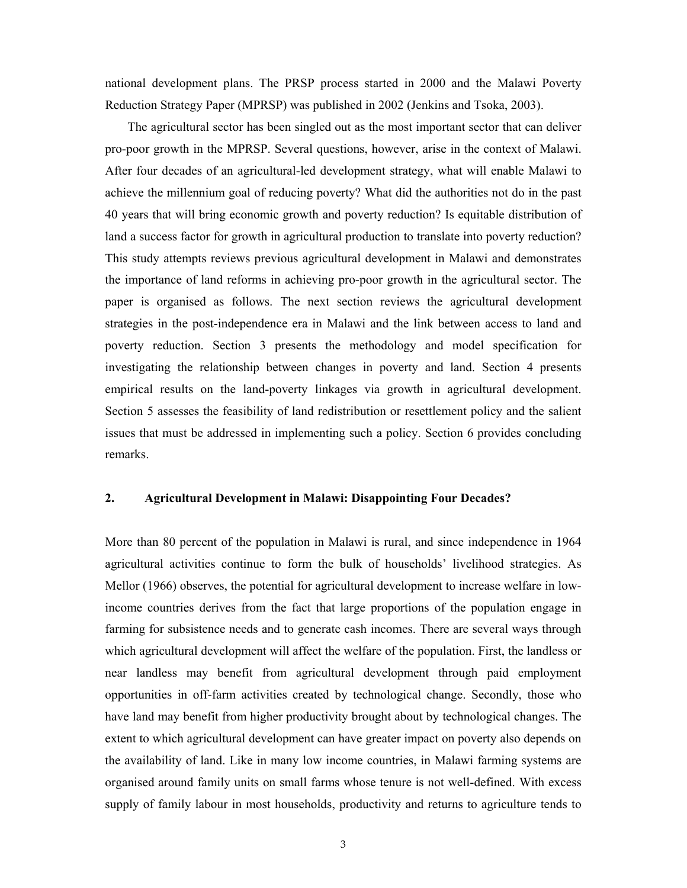national development plans. The PRSP process started in 2000 and the Malawi Poverty Reduction Strategy Paper (MPRSP) was published in 2002 (Jenkins and Tsoka, 2003).

The agricultural sector has been singled out as the most important sector that can deliver pro-poor growth in the MPRSP. Several questions, however, arise in the context of Malawi. After four decades of an agricultural-led development strategy, what will enable Malawi to achieve the millennium goal of reducing poverty? What did the authorities not do in the past 40 years that will bring economic growth and poverty reduction? Is equitable distribution of land a success factor for growth in agricultural production to translate into poverty reduction? This study attempts reviews previous agricultural development in Malawi and demonstrates the importance of land reforms in achieving pro-poor growth in the agricultural sector. The paper is organised as follows. The next section reviews the agricultural development strategies in the post-independence era in Malawi and the link between access to land and poverty reduction. Section 3 presents the methodology and model specification for investigating the relationship between changes in poverty and land. Section 4 presents empirical results on the land-poverty linkages via growth in agricultural development. Section 5 assesses the feasibility of land redistribution or resettlement policy and the salient issues that must be addressed in implementing such a policy. Section 6 provides concluding remarks.

## **2. Agricultural Development in Malawi: Disappointing Four Decades?**

More than 80 percent of the population in Malawi is rural, and since independence in 1964 agricultural activities continue to form the bulk of households' livelihood strategies. As Mellor (1966) observes, the potential for agricultural development to increase welfare in lowincome countries derives from the fact that large proportions of the population engage in farming for subsistence needs and to generate cash incomes. There are several ways through which agricultural development will affect the welfare of the population. First, the landless or near landless may benefit from agricultural development through paid employment opportunities in off-farm activities created by technological change. Secondly, those who have land may benefit from higher productivity brought about by technological changes. The extent to which agricultural development can have greater impact on poverty also depends on the availability of land. Like in many low income countries, in Malawi farming systems are organised around family units on small farms whose tenure is not well-defined. With excess supply of family labour in most households, productivity and returns to agriculture tends to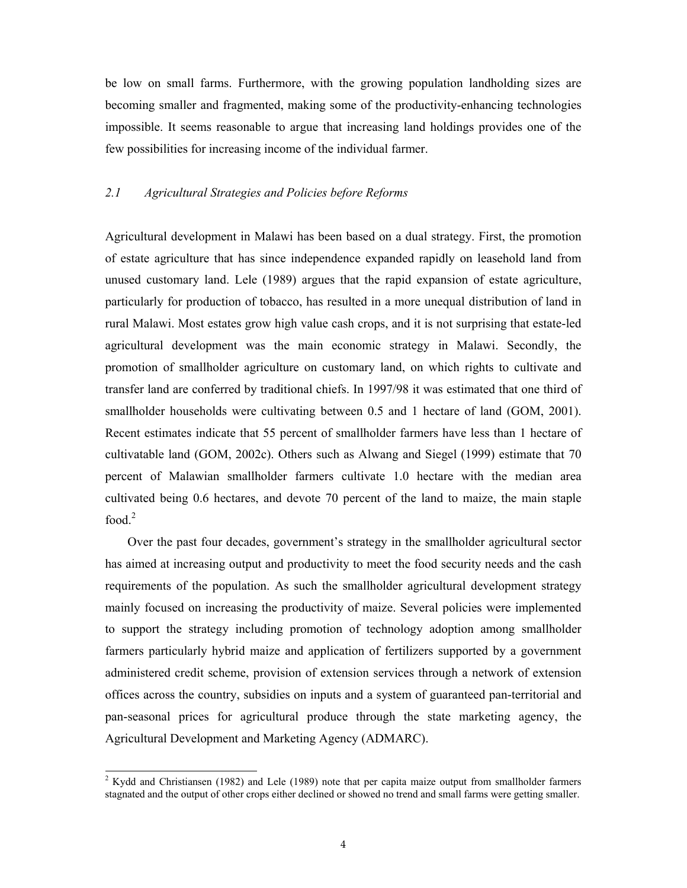be low on small farms. Furthermore, with the growing population landholding sizes are becoming smaller and fragmented, making some of the productivity-enhancing technologies impossible. It seems reasonable to argue that increasing land holdings provides one of the few possibilities for increasing income of the individual farmer.

## *2.1 Agricultural Strategies and Policies before Reforms*

Agricultural development in Malawi has been based on a dual strategy. First, the promotion of estate agriculture that has since independence expanded rapidly on leasehold land from unused customary land. Lele (1989) argues that the rapid expansion of estate agriculture, particularly for production of tobacco, has resulted in a more unequal distribution of land in rural Malawi. Most estates grow high value cash crops, and it is not surprising that estate-led agricultural development was the main economic strategy in Malawi. Secondly, the promotion of smallholder agriculture on customary land, on which rights to cultivate and transfer land are conferred by traditional chiefs. In 1997/98 it was estimated that one third of smallholder households were cultivating between 0.5 and 1 hectare of land (GOM, 2001). Recent estimates indicate that 55 percent of smallholder farmers have less than 1 hectare of cultivatable land (GOM, 2002c). Others such as Alwang and Siegel (1999) estimate that 70 percent of Malawian smallholder farmers cultivate 1.0 hectare with the median area cultivated being 0.6 hectares, and devote 70 percent of the land to maize, the main staple food.<sup>2</sup>

Over the past four decades, government's strategy in the smallholder agricultural sector has aimed at increasing output and productivity to meet the food security needs and the cash requirements of the population. As such the smallholder agricultural development strategy mainly focused on increasing the productivity of maize. Several policies were implemented to support the strategy including promotion of technology adoption among smallholder farmers particularly hybrid maize and application of fertilizers supported by a government administered credit scheme, provision of extension services through a network of extension offices across the country, subsidies on inputs and a system of guaranteed pan-territorial and pan-seasonal prices for agricultural produce through the state marketing agency, the Agricultural Development and Marketing Agency (ADMARC).

<sup>&</sup>lt;sup>2</sup> Kydd and Christiansen (1982) and Lele (1989) note that per capita maize output from smallholder farmers stagnated and the output of other crops either declined or showed no trend and small farms were getting smaller.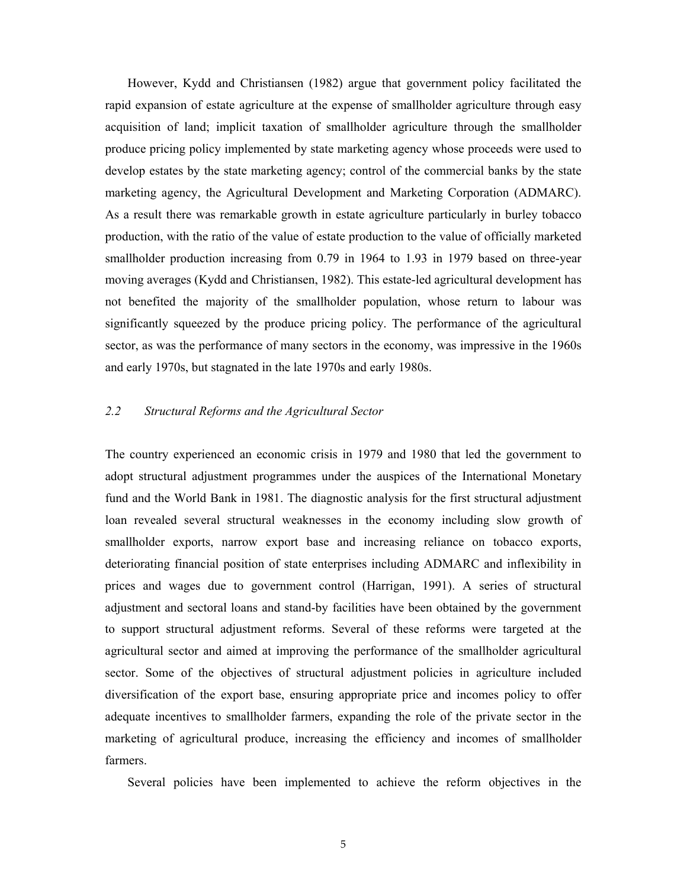However, Kydd and Christiansen (1982) argue that government policy facilitated the rapid expansion of estate agriculture at the expense of smallholder agriculture through easy acquisition of land; implicit taxation of smallholder agriculture through the smallholder produce pricing policy implemented by state marketing agency whose proceeds were used to develop estates by the state marketing agency; control of the commercial banks by the state marketing agency, the Agricultural Development and Marketing Corporation (ADMARC). As a result there was remarkable growth in estate agriculture particularly in burley tobacco production, with the ratio of the value of estate production to the value of officially marketed smallholder production increasing from 0.79 in 1964 to 1.93 in 1979 based on three-year moving averages (Kydd and Christiansen, 1982). This estate-led agricultural development has not benefited the majority of the smallholder population, whose return to labour was significantly squeezed by the produce pricing policy. The performance of the agricultural sector, as was the performance of many sectors in the economy, was impressive in the 1960s and early 1970s, but stagnated in the late 1970s and early 1980s.

# *2.2 Structural Reforms and the Agricultural Sector*

The country experienced an economic crisis in 1979 and 1980 that led the government to adopt structural adjustment programmes under the auspices of the International Monetary fund and the World Bank in 1981. The diagnostic analysis for the first structural adjustment loan revealed several structural weaknesses in the economy including slow growth of smallholder exports, narrow export base and increasing reliance on tobacco exports, deteriorating financial position of state enterprises including ADMARC and inflexibility in prices and wages due to government control (Harrigan, 1991). A series of structural adjustment and sectoral loans and stand-by facilities have been obtained by the government to support structural adjustment reforms. Several of these reforms were targeted at the agricultural sector and aimed at improving the performance of the smallholder agricultural sector. Some of the objectives of structural adjustment policies in agriculture included diversification of the export base, ensuring appropriate price and incomes policy to offer adequate incentives to smallholder farmers, expanding the role of the private sector in the marketing of agricultural produce, increasing the efficiency and incomes of smallholder farmers.

Several policies have been implemented to achieve the reform objectives in the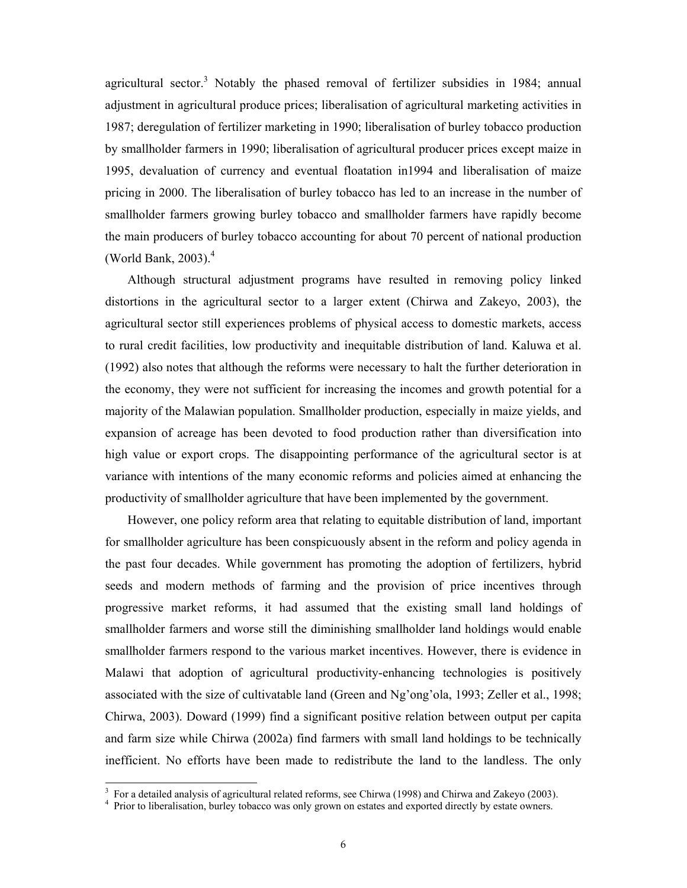agricultural sector.<sup>3</sup> Notably the phased removal of fertilizer subsidies in 1984; annual adjustment in agricultural produce prices; liberalisation of agricultural marketing activities in 1987; deregulation of fertilizer marketing in 1990; liberalisation of burley tobacco production by smallholder farmers in 1990; liberalisation of agricultural producer prices except maize in 1995, devaluation of currency and eventual floatation in1994 and liberalisation of maize pricing in 2000. The liberalisation of burley tobacco has led to an increase in the number of smallholder farmers growing burley tobacco and smallholder farmers have rapidly become the main producers of burley tobacco accounting for about 70 percent of national production (World Bank,  $2003$ ).<sup>4</sup>

Although structural adjustment programs have resulted in removing policy linked distortions in the agricultural sector to a larger extent (Chirwa and Zakeyo, 2003), the agricultural sector still experiences problems of physical access to domestic markets, access to rural credit facilities, low productivity and inequitable distribution of land. Kaluwa et al. (1992) also notes that although the reforms were necessary to halt the further deterioration in the economy, they were not sufficient for increasing the incomes and growth potential for a majority of the Malawian population. Smallholder production, especially in maize yields, and expansion of acreage has been devoted to food production rather than diversification into high value or export crops. The disappointing performance of the agricultural sector is at variance with intentions of the many economic reforms and policies aimed at enhancing the productivity of smallholder agriculture that have been implemented by the government.

However, one policy reform area that relating to equitable distribution of land, important for smallholder agriculture has been conspicuously absent in the reform and policy agenda in the past four decades. While government has promoting the adoption of fertilizers, hybrid seeds and modern methods of farming and the provision of price incentives through progressive market reforms, it had assumed that the existing small land holdings of smallholder farmers and worse still the diminishing smallholder land holdings would enable smallholder farmers respond to the various market incentives. However, there is evidence in Malawi that adoption of agricultural productivity-enhancing technologies is positively associated with the size of cultivatable land (Green and Ng'ong'ola, 1993; Zeller et al., 1998; Chirwa, 2003). Doward (1999) find a significant positive relation between output per capita and farm size while Chirwa (2002a) find farmers with small land holdings to be technically inefficient. No efforts have been made to redistribute the land to the landless. The only

<sup>&</sup>lt;sup>3</sup> For a detailed analysis of agricultural related reforms, see Chirwa (1998) and Chirwa and Zakeyo (2003).<br><sup>4</sup> Prior to liberalization, burley tabases was only grown on estates and awarded directly by estate sympactic

<sup>&</sup>lt;sup>4</sup> Prior to liberalisation, burley tobacco was only grown on estates and exported directly by estate owners.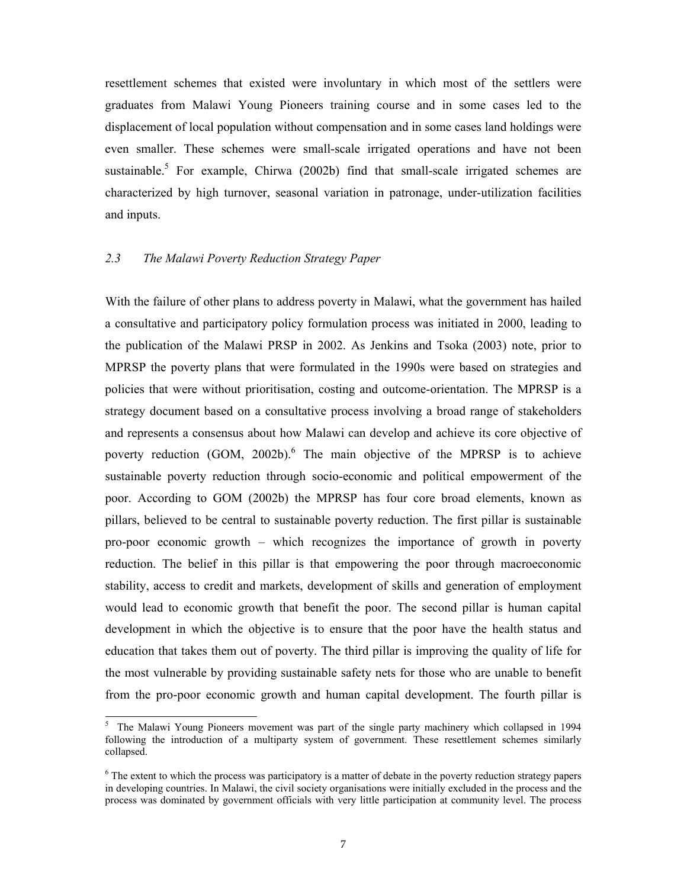resettlement schemes that existed were involuntary in which most of the settlers were graduates from Malawi Young Pioneers training course and in some cases led to the displacement of local population without compensation and in some cases land holdings were even smaller. These schemes were small-scale irrigated operations and have not been sustainable.<sup>5</sup> For example, Chirwa (2002b) find that small-scale irrigated schemes are characterized by high turnover, seasonal variation in patronage, under-utilization facilities and inputs.

## *2.3 The Malawi Poverty Reduction Strategy Paper*

With the failure of other plans to address poverty in Malawi, what the government has hailed a consultative and participatory policy formulation process was initiated in 2000, leading to the publication of the Malawi PRSP in 2002. As Jenkins and Tsoka (2003) note, prior to MPRSP the poverty plans that were formulated in the 1990s were based on strategies and policies that were without prioritisation, costing and outcome-orientation. The MPRSP is a strategy document based on a consultative process involving a broad range of stakeholders and represents a consensus about how Malawi can develop and achieve its core objective of poverty reduction (GOM, 2002b). The main objective of the MPRSP is to achieve sustainable poverty reduction through socio-economic and political empowerment of the poor. According to GOM (2002b) the MPRSP has four core broad elements, known as pillars, believed to be central to sustainable poverty reduction. The first pillar is sustainable pro-poor economic growth – which recognizes the importance of growth in poverty reduction. The belief in this pillar is that empowering the poor through macroeconomic stability, access to credit and markets, development of skills and generation of employment would lead to economic growth that benefit the poor. The second pillar is human capital development in which the objective is to ensure that the poor have the health status and education that takes them out of poverty. The third pillar is improving the quality of life for the most vulnerable by providing sustainable safety nets for those who are unable to benefit from the pro-poor economic growth and human capital development. The fourth pillar is

<sup>&</sup>lt;sup>5</sup> The Malawi Young Pioneers movement was part of the single party machinery which collapsed in 1994 following the introduction of a multiparty system of government. These resettlement schemes similarly collapsed.

 $6$  The extent to which the process was participatory is a matter of debate in the poverty reduction strategy papers in developing countries. In Malawi, the civil society organisations were initially excluded in the process and the process was dominated by government officials with very little participation at community level. The process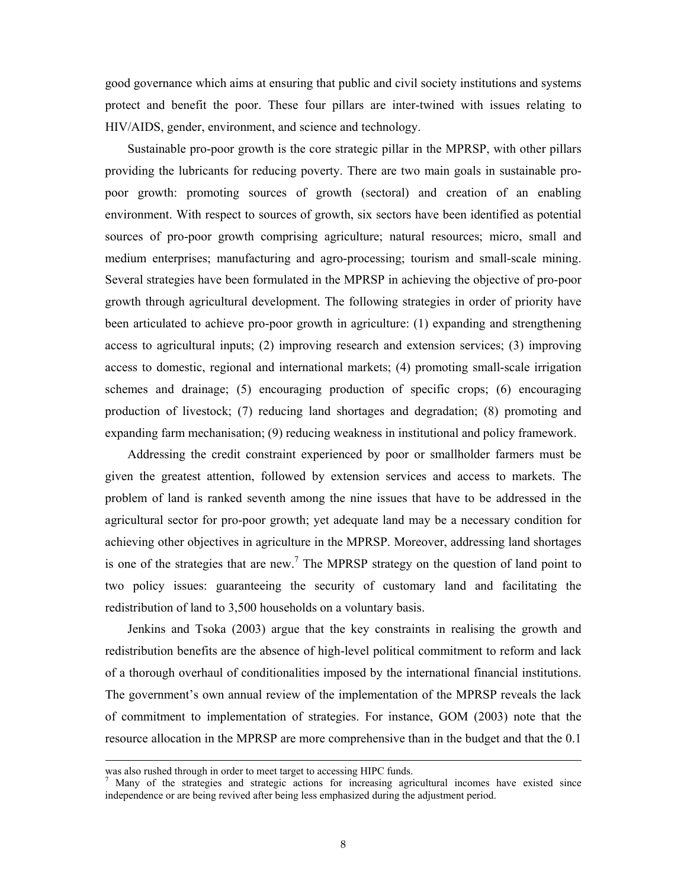good governance which aims at ensuring that public and civil society institutions and systems protect and benefit the poor. These four pillars are inter-twined with issues relating to HIV/AIDS, gender, environment, and science and technology.

Sustainable pro-poor growth is the core strategic pillar in the MPRSP, with other pillars providing the lubricants for reducing poverty. There are two main goals in sustainable propoor growth: promoting sources of growth (sectoral) and creation of an enabling environment. With respect to sources of growth, six sectors have been identified as potential sources of pro-poor growth comprising agriculture; natural resources; micro, small and medium enterprises; manufacturing and agro-processing; tourism and small-scale mining. Several strategies have been formulated in the MPRSP in achieving the objective of pro-poor growth through agricultural development. The following strategies in order of priority have been articulated to achieve pro-poor growth in agriculture: (1) expanding and strengthening access to agricultural inputs; (2) improving research and extension services; (3) improving access to domestic, regional and international markets; (4) promoting small-scale irrigation schemes and drainage; (5) encouraging production of specific crops; (6) encouraging production of livestock; (7) reducing land shortages and degradation; (8) promoting and expanding farm mechanisation; (9) reducing weakness in institutional and policy framework.

Addressing the credit constraint experienced by poor or smallholder farmers must be given the greatest attention, followed by extension services and access to markets. The problem of land is ranked seventh among the nine issues that have to be addressed in the agricultural sector for pro-poor growth; yet adequate land may be a necessary condition for achieving other objectives in agriculture in the MPRSP. Moreover, addressing land shortages is one of the strategies that are new.<sup>7</sup> The MPRSP strategy on the question of land point to two policy issues: guaranteeing the security of customary land and facilitating the redistribution of land to 3,500 households on a voluntary basis.

Jenkins and Tsoka (2003) argue that the key constraints in realising the growth and redistribution benefits are the absence of high-level political commitment to reform and lack of a thorough overhaul of conditionalities imposed by the international financial institutions. The government's own annual review of the implementation of the MPRSP reveals the lack of commitment to implementation of strategies. For instance, GOM (2003) note that the resource allocation in the MPRSP are more comprehensive than in the budget and that the 0.1

was also rushed through in order to meet target to accessing HIPC funds. 7

Many of the strategies and strategic actions for increasing agricultural incomes have existed since independence or are being revived after being less emphasized during the adjustment period.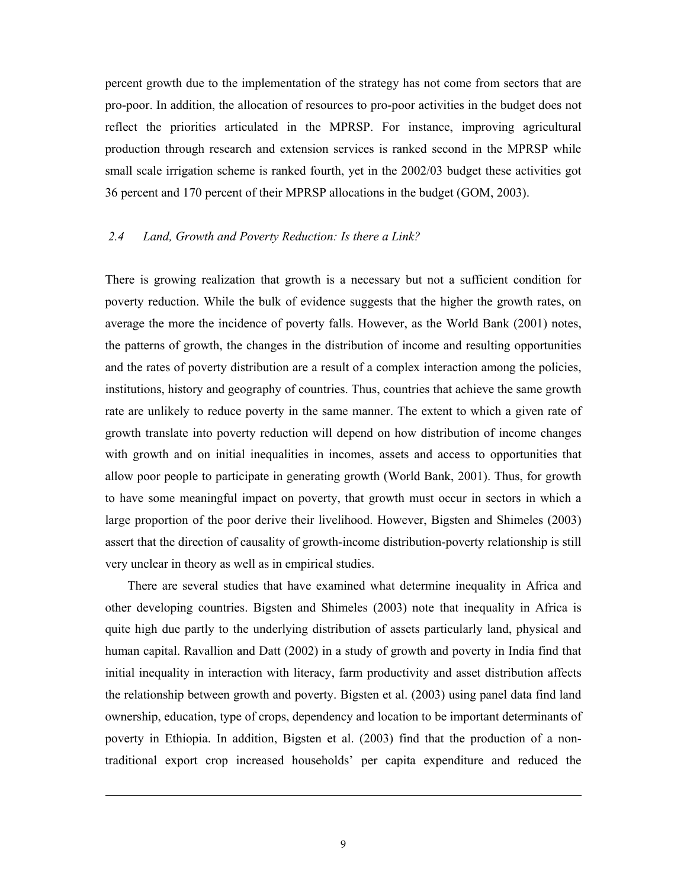percent growth due to the implementation of the strategy has not come from sectors that are pro-poor. In addition, the allocation of resources to pro-poor activities in the budget does not reflect the priorities articulated in the MPRSP. For instance, improving agricultural production through research and extension services is ranked second in the MPRSP while small scale irrigation scheme is ranked fourth, yet in the 2002/03 budget these activities got 36 percent and 170 percent of their MPRSP allocations in the budget (GOM, 2003).

# *2.4 Land, Growth and Poverty Reduction: Is there a Link?*

There is growing realization that growth is a necessary but not a sufficient condition for poverty reduction. While the bulk of evidence suggests that the higher the growth rates, on average the more the incidence of poverty falls. However, as the World Bank (2001) notes, the patterns of growth, the changes in the distribution of income and resulting opportunities and the rates of poverty distribution are a result of a complex interaction among the policies, institutions, history and geography of countries. Thus, countries that achieve the same growth rate are unlikely to reduce poverty in the same manner. The extent to which a given rate of growth translate into poverty reduction will depend on how distribution of income changes with growth and on initial inequalities in incomes, assets and access to opportunities that allow poor people to participate in generating growth (World Bank, 2001). Thus, for growth to have some meaningful impact on poverty, that growth must occur in sectors in which a large proportion of the poor derive their livelihood. However, Bigsten and Shimeles (2003) assert that the direction of causality of growth-income distribution-poverty relationship is still very unclear in theory as well as in empirical studies.

There are several studies that have examined what determine inequality in Africa and other developing countries. Bigsten and Shimeles (2003) note that inequality in Africa is quite high due partly to the underlying distribution of assets particularly land, physical and human capital. Ravallion and Datt (2002) in a study of growth and poverty in India find that initial inequality in interaction with literacy, farm productivity and asset distribution affects the relationship between growth and poverty. Bigsten et al. (2003) using panel data find land ownership, education, type of crops, dependency and location to be important determinants of poverty in Ethiopia. In addition, Bigsten et al. (2003) find that the production of a nontraditional export crop increased households' per capita expenditure and reduced the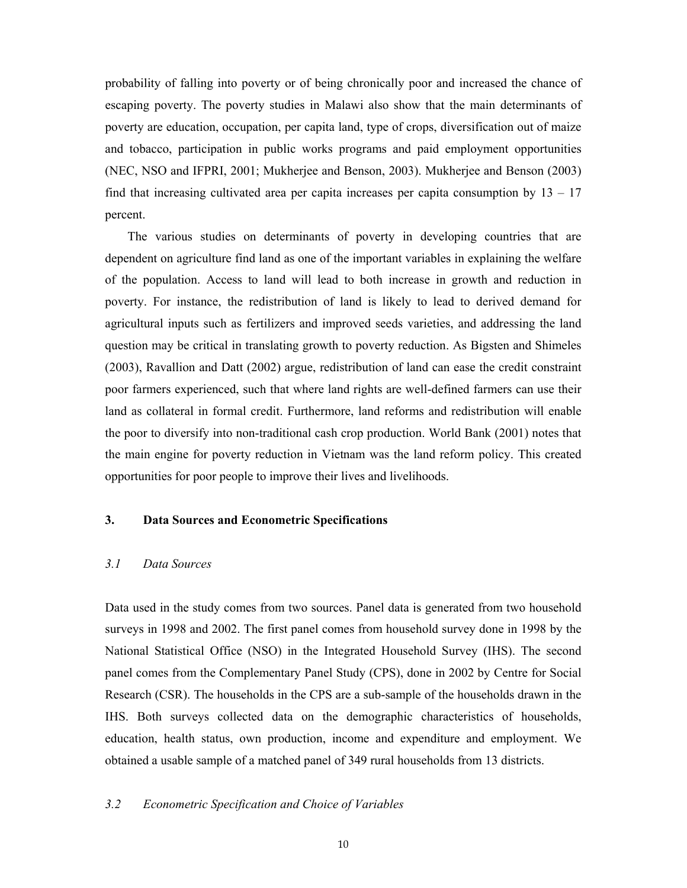probability of falling into poverty or of being chronically poor and increased the chance of escaping poverty. The poverty studies in Malawi also show that the main determinants of poverty are education, occupation, per capita land, type of crops, diversification out of maize and tobacco, participation in public works programs and paid employment opportunities (NEC, NSO and IFPRI, 2001; Mukherjee and Benson, 2003). Mukherjee and Benson (2003) find that increasing cultivated area per capita increases per capita consumption by  $13 - 17$ percent.

The various studies on determinants of poverty in developing countries that are dependent on agriculture find land as one of the important variables in explaining the welfare of the population. Access to land will lead to both increase in growth and reduction in poverty. For instance, the redistribution of land is likely to lead to derived demand for agricultural inputs such as fertilizers and improved seeds varieties, and addressing the land question may be critical in translating growth to poverty reduction. As Bigsten and Shimeles (2003), Ravallion and Datt (2002) argue, redistribution of land can ease the credit constraint poor farmers experienced, such that where land rights are well-defined farmers can use their land as collateral in formal credit. Furthermore, land reforms and redistribution will enable the poor to diversify into non-traditional cash crop production. World Bank (2001) notes that the main engine for poverty reduction in Vietnam was the land reform policy. This created opportunities for poor people to improve their lives and livelihoods.

# **3. Data Sources and Econometric Specifications**

### *3.1 Data Sources*

Data used in the study comes from two sources. Panel data is generated from two household surveys in 1998 and 2002. The first panel comes from household survey done in 1998 by the National Statistical Office (NSO) in the Integrated Household Survey (IHS). The second panel comes from the Complementary Panel Study (CPS), done in 2002 by Centre for Social Research (CSR). The households in the CPS are a sub-sample of the households drawn in the IHS. Both surveys collected data on the demographic characteristics of households, education, health status, own production, income and expenditure and employment. We obtained a usable sample of a matched panel of 349 rural households from 13 districts.

## *3.2 Econometric Specification and Choice of Variables*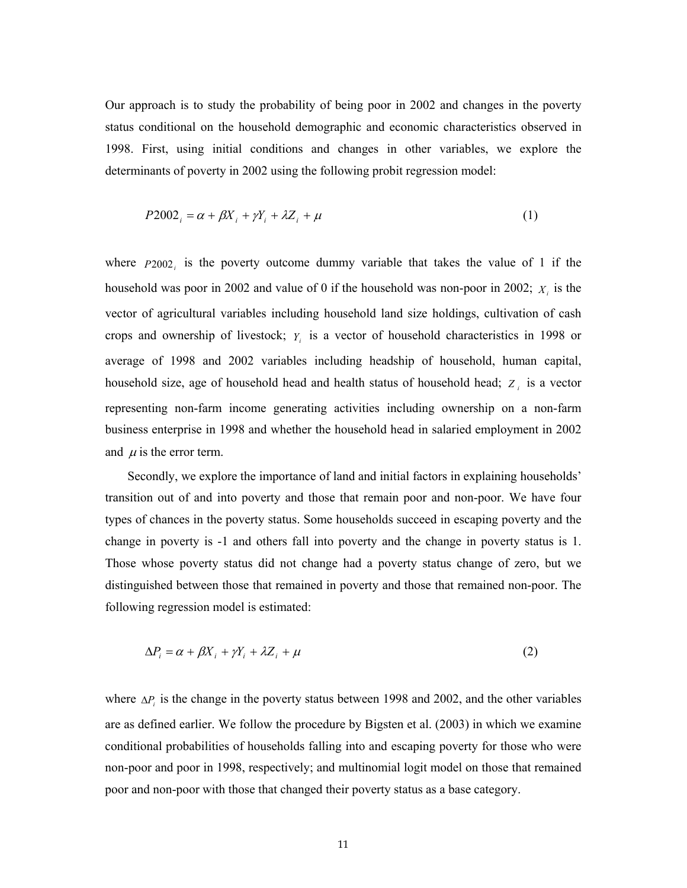Our approach is to study the probability of being poor in 2002 and changes in the poverty status conditional on the household demographic and economic characteristics observed in 1998. First, using initial conditions and changes in other variables, we explore the determinants of poverty in 2002 using the following probit regression model:

$$
P2002_i = \alpha + \beta X_i + \gamma Y_i + \lambda Z_i + \mu \tag{1}
$$

where  $P2002$  is the poverty outcome dummy variable that takes the value of 1 if the household was poor in 2002 and value of 0 if the household was non-poor in 2002;  $X_i$  is the vector of agricultural variables including household land size holdings, cultivation of cash crops and ownership of livestock; *Yi* is a vector of household characteristics in 1998 or average of 1998 and 2002 variables including headship of household, human capital, household size, age of household head and health status of household head; *Z <sup>i</sup>* is a vector representing non-farm income generating activities including ownership on a non-farm business enterprise in 1998 and whether the household head in salaried employment in 2002 and  $\mu$  is the error term.

Secondly, we explore the importance of land and initial factors in explaining households' transition out of and into poverty and those that remain poor and non-poor. We have four types of chances in the poverty status. Some households succeed in escaping poverty and the change in poverty is -1 and others fall into poverty and the change in poverty status is 1. Those whose poverty status did not change had a poverty status change of zero, but we distinguished between those that remained in poverty and those that remained non-poor. The following regression model is estimated:

$$
\Delta P_i = \alpha + \beta X_i + \gamma Y_i + \lambda Z_i + \mu \tag{2}
$$

where  $\Delta P_i$  is the change in the poverty status between 1998 and 2002, and the other variables are as defined earlier. We follow the procedure by Bigsten et al. (2003) in which we examine conditional probabilities of households falling into and escaping poverty for those who were non-poor and poor in 1998, respectively; and multinomial logit model on those that remained poor and non-poor with those that changed their poverty status as a base category.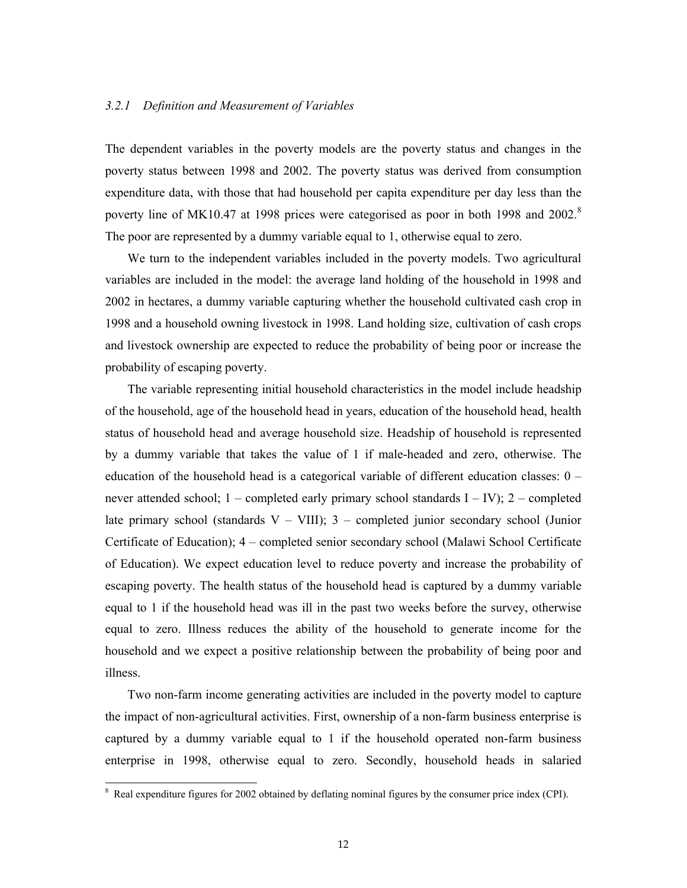# *3.2.1 Definition and Measurement of Variables*

The dependent variables in the poverty models are the poverty status and changes in the poverty status between 1998 and 2002. The poverty status was derived from consumption expenditure data, with those that had household per capita expenditure per day less than the poverty line of MK10.47 at 1998 prices were categorised as poor in both 1998 and 2002.<sup>8</sup> The poor are represented by a dummy variable equal to 1, otherwise equal to zero.

We turn to the independent variables included in the poverty models. Two agricultural variables are included in the model: the average land holding of the household in 1998 and 2002 in hectares, a dummy variable capturing whether the household cultivated cash crop in 1998 and a household owning livestock in 1998. Land holding size, cultivation of cash crops and livestock ownership are expected to reduce the probability of being poor or increase the probability of escaping poverty.

The variable representing initial household characteristics in the model include headship of the household, age of the household head in years, education of the household head, health status of household head and average household size. Headship of household is represented by a dummy variable that takes the value of 1 if male-headed and zero, otherwise. The education of the household head is a categorical variable of different education classes: 0 – never attended school; 1 – completed early primary school standards I – IV); 2 – completed late primary school (standards  $V - VIII$ ); 3 – completed junior secondary school (Junior Certificate of Education); 4 – completed senior secondary school (Malawi School Certificate of Education). We expect education level to reduce poverty and increase the probability of escaping poverty. The health status of the household head is captured by a dummy variable equal to 1 if the household head was ill in the past two weeks before the survey, otherwise equal to zero. Illness reduces the ability of the household to generate income for the household and we expect a positive relationship between the probability of being poor and illness.

Two non-farm income generating activities are included in the poverty model to capture the impact of non-agricultural activities. First, ownership of a non-farm business enterprise is captured by a dummy variable equal to 1 if the household operated non-farm business enterprise in 1998, otherwise equal to zero. Secondly, household heads in salaried

<sup>&</sup>lt;sup>8</sup> Real expenditure figures for 2002 obtained by deflating nominal figures by the consumer price index (CPI).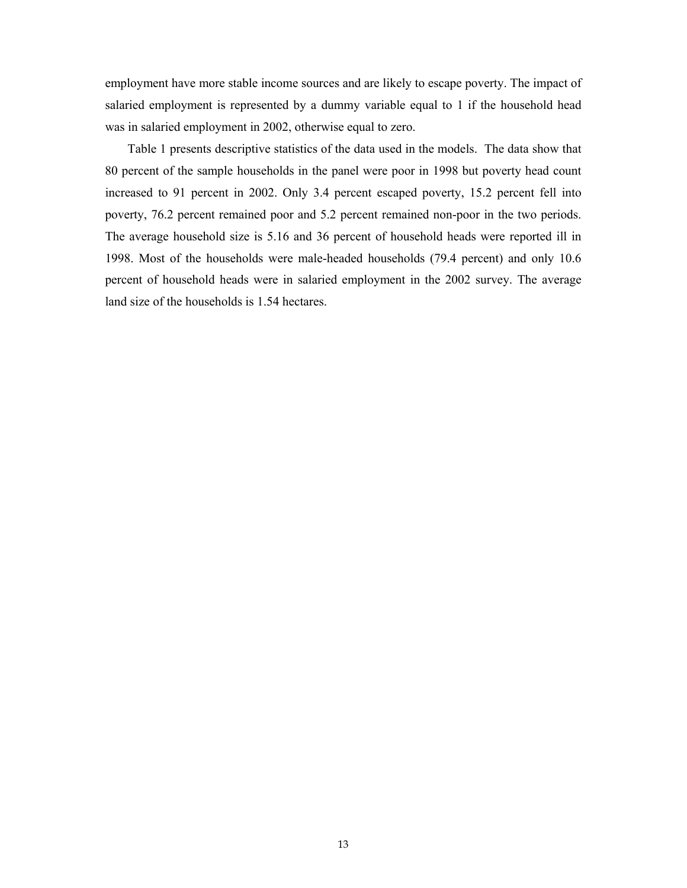employment have more stable income sources and are likely to escape poverty. The impact of salaried employment is represented by a dummy variable equal to 1 if the household head was in salaried employment in 2002, otherwise equal to zero.

Table 1 presents descriptive statistics of the data used in the models. The data show that 80 percent of the sample households in the panel were poor in 1998 but poverty head count increased to 91 percent in 2002. Only 3.4 percent escaped poverty, 15.2 percent fell into poverty, 76.2 percent remained poor and 5.2 percent remained non-poor in the two periods. The average household size is 5.16 and 36 percent of household heads were reported ill in 1998. Most of the households were male-headed households (79.4 percent) and only 10.6 percent of household heads were in salaried employment in the 2002 survey. The average land size of the households is 1.54 hectares.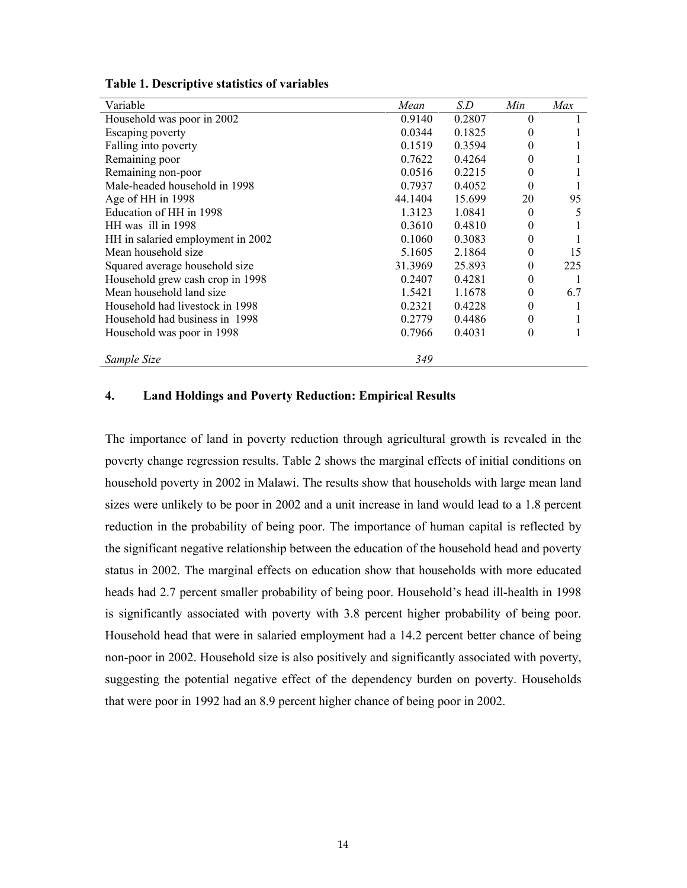| Variable                          | Mean    | S.D    | Min      | Max |
|-----------------------------------|---------|--------|----------|-----|
| Household was poor in 2002        | 0.9140  | 0.2807 | 0        |     |
| Escaping poverty                  | 0.0344  | 0.1825 | 0        |     |
| Falling into poverty              | 0.1519  | 0.3594 | 0        |     |
| Remaining poor                    | 0.7622  | 0.4264 | 0        |     |
| Remaining non-poor                | 0.0516  | 0.2215 | 0        |     |
| Male-headed household in 1998     | 0.7937  | 0.4052 | 0        |     |
| Age of HH in 1998                 | 44.1404 | 15.699 | 20       | 95  |
| Education of HH in 1998           | 1.3123  | 1.0841 | $\theta$ | 5   |
| HH was ill in 1998                | 0.3610  | 0.4810 | 0        |     |
| HH in salaried employment in 2002 | 0.1060  | 0.3083 | 0        |     |
| Mean household size               | 5.1605  | 2.1864 | 0        | 15  |
| Squared average household size    | 31.3969 | 25.893 | 0        | 225 |
| Household grew cash crop in 1998  | 0.2407  | 0.4281 | 0        |     |
| Mean household land size          | 1.5421  | 1.1678 | $\theta$ | 6.7 |
| Household had livestock in 1998   | 0.2321  | 0.4228 | 0        |     |
| Household had business in 1998    | 0.2779  | 0.4486 | 0        |     |
| Household was poor in 1998        | 0.7966  | 0.4031 | 0        |     |
| Sample Size                       | 349     |        |          |     |

**Table 1. Descriptive statistics of variables** 

#### **4. Land Holdings and Poverty Reduction: Empirical Results**

The importance of land in poverty reduction through agricultural growth is revealed in the poverty change regression results. Table 2 shows the marginal effects of initial conditions on household poverty in 2002 in Malawi. The results show that households with large mean land sizes were unlikely to be poor in 2002 and a unit increase in land would lead to a 1.8 percent reduction in the probability of being poor. The importance of human capital is reflected by the significant negative relationship between the education of the household head and poverty status in 2002. The marginal effects on education show that households with more educated heads had 2.7 percent smaller probability of being poor. Household's head ill-health in 1998 is significantly associated with poverty with 3.8 percent higher probability of being poor. Household head that were in salaried employment had a 14.2 percent better chance of being non-poor in 2002. Household size is also positively and significantly associated with poverty, suggesting the potential negative effect of the dependency burden on poverty. Households that were poor in 1992 had an 8.9 percent higher chance of being poor in 2002.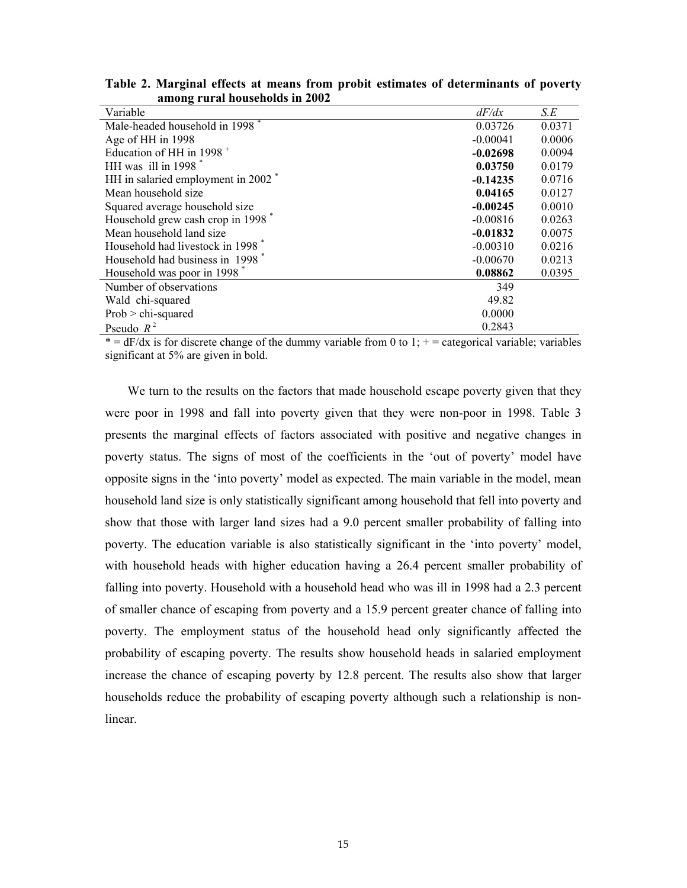| Variable                                       | dF/dx      | S.E    |
|------------------------------------------------|------------|--------|
| Male-headed household in 1998 <sup>*</sup>     | 0.03726    | 0.0371 |
| Age of HH in 1998                              | $-0.00041$ | 0.0006 |
| Education of HH in 1998 <sup>+</sup>           | $-0.02698$ | 0.0094 |
| HH was ill in $1998$ <sup>*</sup>              | 0.03750    | 0.0179 |
| HH in salaried employment in 2002 <sup>*</sup> | $-0.14235$ | 0.0716 |
| Mean household size                            | 0.04165    | 0.0127 |
| Squared average household size                 | $-0.00245$ | 0.0010 |
| Household grew cash crop in 1998 <sup>*</sup>  | $-0.00816$ | 0.0263 |
| Mean household land size                       | $-0.01832$ | 0.0075 |
| Household had livestock in 1998 <sup>*</sup>   | $-0.00310$ | 0.0216 |
| Household had business in 1998 <sup>*</sup>    | $-0.00670$ | 0.0213 |
| Household was poor in 1998                     | 0.08862    | 0.0395 |
| Number of observations                         | 349        |        |
| Wald chi-squared                               | 49.82      |        |
| $Prob > chi-squared$                           | 0.0000     |        |
| Pseudo $R^2$                                   | 0.2843     |        |

**Table 2. Marginal effects at means from probit estimates of determinants of poverty among rural households in 2002** 

 $* = dF/dx$  is for discrete change of the dummy variable from 0 to 1;  $+$  = categorical variable; variables significant at 5% are given in bold.

We turn to the results on the factors that made household escape poverty given that they were poor in 1998 and fall into poverty given that they were non-poor in 1998. Table 3 presents the marginal effects of factors associated with positive and negative changes in poverty status. The signs of most of the coefficients in the 'out of poverty' model have opposite signs in the 'into poverty' model as expected. The main variable in the model, mean household land size is only statistically significant among household that fell into poverty and show that those with larger land sizes had a 9.0 percent smaller probability of falling into poverty. The education variable is also statistically significant in the 'into poverty' model, with household heads with higher education having a 26.4 percent smaller probability of falling into poverty. Household with a household head who was ill in 1998 had a 2.3 percent of smaller chance of escaping from poverty and a 15.9 percent greater chance of falling into poverty. The employment status of the household head only significantly affected the probability of escaping poverty. The results show household heads in salaried employment increase the chance of escaping poverty by 12.8 percent. The results also show that larger households reduce the probability of escaping poverty although such a relationship is nonlinear.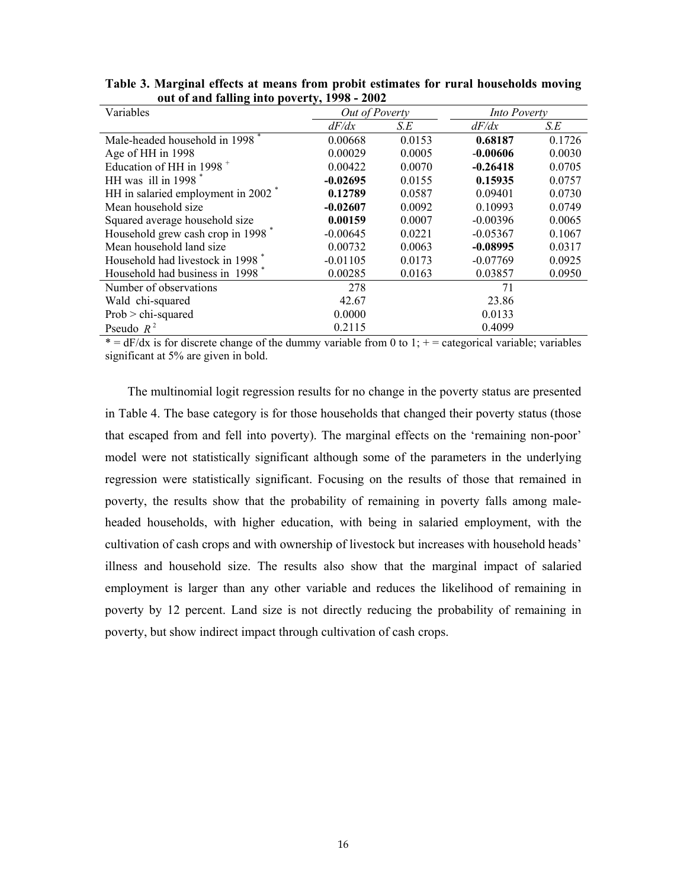| Variables                                      | Out of Poverty |        | <b>Into Poverty</b> |        |
|------------------------------------------------|----------------|--------|---------------------|--------|
|                                                | dF/dx          | S.E    | dF/dx               | S.E    |
| Male-headed household in 1998                  | 0.00668        | 0.0153 | 0.68187             | 0.1726 |
| Age of HH in 1998                              | 0.00029        | 0.0005 | $-0.00606$          | 0.0030 |
| Education of HH in 1998 $^+$                   | 0.00422        | 0.0070 | $-0.26418$          | 0.0705 |
| HH was ill in $1998$ <sup>*</sup>              | $-0.02695$     | 0.0155 | 0.15935             | 0.0757 |
| HH in salaried employment in 2002 <sup>*</sup> | 0.12789        | 0.0587 | 0.09401             | 0.0730 |
| Mean household size                            | $-0.02607$     | 0.0092 | 0.10993             | 0.0749 |
| Squared average household size                 | 0.00159        | 0.0007 | $-0.00396$          | 0.0065 |
| Household grew cash crop in 1998 <sup>*</sup>  | $-0.00645$     | 0.0221 | $-0.05367$          | 0.1067 |
| Mean household land size                       | 0.00732        | 0.0063 | $-0.08995$          | 0.0317 |
| Household had livestock in 1998 <sup>*</sup>   | $-0.01105$     | 0.0173 | $-0.07769$          | 0.0925 |
| Household had business in 1998 <sup>*</sup>    | 0.00285        | 0.0163 | 0.03857             | 0.0950 |
| Number of observations                         | 278            |        | 71                  |        |
| Wald chi-squared                               | 42.67          |        | 23.86               |        |
| $Prob > chi-squared$                           | 0.0000         |        | 0.0133              |        |
| Pseudo $R^2$                                   | 0.2115         |        | 0.4099              |        |

**Table 3. Marginal effects at means from probit estimates for rural households moving out of and falling into poverty, 1998 - 2002** 

 $* = dF/dx$  is for discrete change of the dummy variable from 0 to 1;  $+$  = categorical variable; variables significant at 5% are given in bold.

The multinomial logit regression results for no change in the poverty status are presented in Table 4. The base category is for those households that changed their poverty status (those that escaped from and fell into poverty). The marginal effects on the 'remaining non-poor' model were not statistically significant although some of the parameters in the underlying regression were statistically significant. Focusing on the results of those that remained in poverty, the results show that the probability of remaining in poverty falls among maleheaded households, with higher education, with being in salaried employment, with the cultivation of cash crops and with ownership of livestock but increases with household heads' illness and household size. The results also show that the marginal impact of salaried employment is larger than any other variable and reduces the likelihood of remaining in poverty by 12 percent. Land size is not directly reducing the probability of remaining in poverty, but show indirect impact through cultivation of cash crops.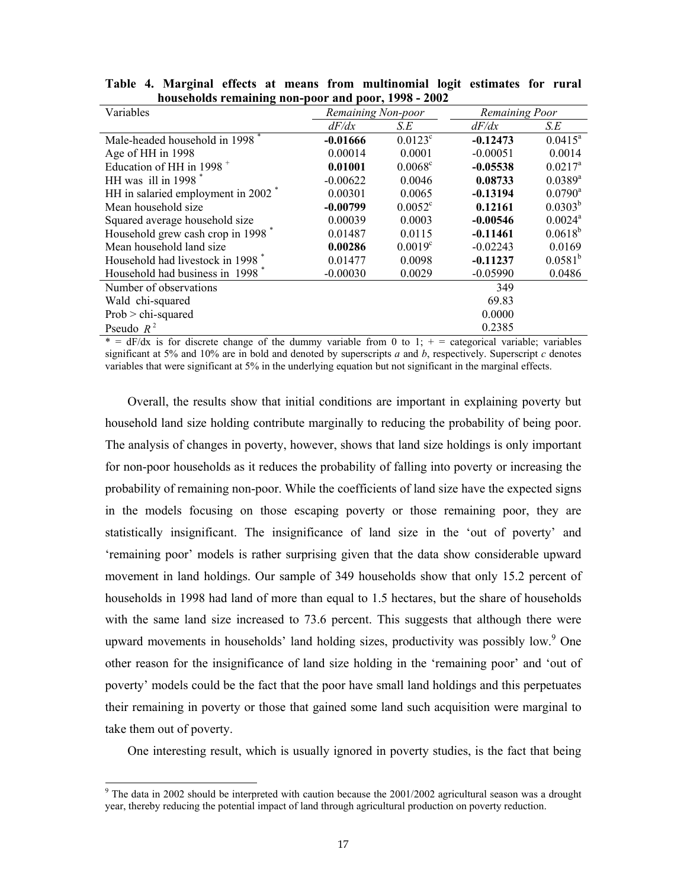| Variables                                      | Remaining Non-poor |                  | Remaining Poor |                       |  |  |  |
|------------------------------------------------|--------------------|------------------|----------------|-----------------------|--|--|--|
|                                                | dF/dx              | S.E              | dF/dx          | S.E                   |  |  |  |
| Male-headed household in 1998                  | $-0.01666$         | $0.0123^{\circ}$ | $-0.12473$     | $0.0415^a$            |  |  |  |
| Age of HH in 1998                              | 0.00014            | 0.0001           | $-0.00051$     | 0.0014                |  |  |  |
| Education of HH in 1998 <sup>+</sup>           | 0.01001            | $0.0068^{\circ}$ | $-0.05538$     | $0.0217^a$            |  |  |  |
| HH was ill in $1998$ <sup>*</sup>              | $-0.00622$         | 0.0046           | 0.08733        | $0.0389^{a}$          |  |  |  |
| HH in salaried employment in 2002 <sup>*</sup> | 0.00301            | 0.0065           | $-0.13194$     | $0.0790$ <sup>a</sup> |  |  |  |
| Mean household size                            | $-0.00799$         | $0.0052^{\circ}$ | 0.12161        | $0.0303^{b}$          |  |  |  |
| Squared average household size                 | 0.00039            | 0.0003           | $-0.00546$     | $0.0024$ <sup>a</sup> |  |  |  |
| Household grew cash crop in 1998 <sup>*</sup>  | 0.01487            | 0.0115           | $-0.11461$     | $0.0618^{b}$          |  |  |  |
| Mean household land size                       | 0.00286            | $0.0019^{\circ}$ | $-0.02243$     | 0.0169                |  |  |  |
| Household had livestock in 1998 <sup>*</sup>   | 0.01477            | 0.0098           | $-0.11237$     | $0.0581^{b}$          |  |  |  |
| Household had business in 1998 <sup>*</sup>    | $-0.00030$         | 0.0029           | $-0.05990$     | 0.0486                |  |  |  |
| Number of observations                         |                    |                  | 349            |                       |  |  |  |
| Wald chi-squared                               |                    |                  | 69.83          |                       |  |  |  |
| $Prob > chi-squared$                           |                    |                  | 0.0000         |                       |  |  |  |
| Pseudo $R^2$                                   |                    |                  | 0.2385         |                       |  |  |  |
|                                                |                    |                  |                |                       |  |  |  |

**Table 4. Marginal effects at means from multinomial logit estimates for rural households remaining non-poor and poor, 1998 - 2002** 

 $* = dF/dx$  is for discrete change of the dummy variable from 0 to 1;  $+ =$  categorical variable; variables significant at 5% and 10% are in bold and denoted by superscripts *a* and *b*, respectively. Superscript *c* denotes variables that were significant at 5% in the underlying equation but not significant in the marginal effects.

Overall, the results show that initial conditions are important in explaining poverty but household land size holding contribute marginally to reducing the probability of being poor. The analysis of changes in poverty, however, shows that land size holdings is only important for non-poor households as it reduces the probability of falling into poverty or increasing the probability of remaining non-poor. While the coefficients of land size have the expected signs in the models focusing on those escaping poverty or those remaining poor, they are statistically insignificant. The insignificance of land size in the 'out of poverty' and 'remaining poor' models is rather surprising given that the data show considerable upward movement in land holdings. Our sample of 349 households show that only 15.2 percent of households in 1998 had land of more than equal to 1.5 hectares, but the share of households with the same land size increased to 73.6 percent. This suggests that although there were upward movements in households' land holding sizes, productivity was possibly low.<sup>9</sup> One other reason for the insignificance of land size holding in the 'remaining poor' and 'out of poverty' models could be the fact that the poor have small land holdings and this perpetuates their remaining in poverty or those that gained some land such acquisition were marginal to take them out of poverty.

One interesting result, which is usually ignored in poverty studies, is the fact that being

 $9$ <sup>9</sup> The data in 2002 should be interpreted with caution because the 2001/2002 agricultural season was a drought year, thereby reducing the potential impact of land through agricultural production on poverty reduction.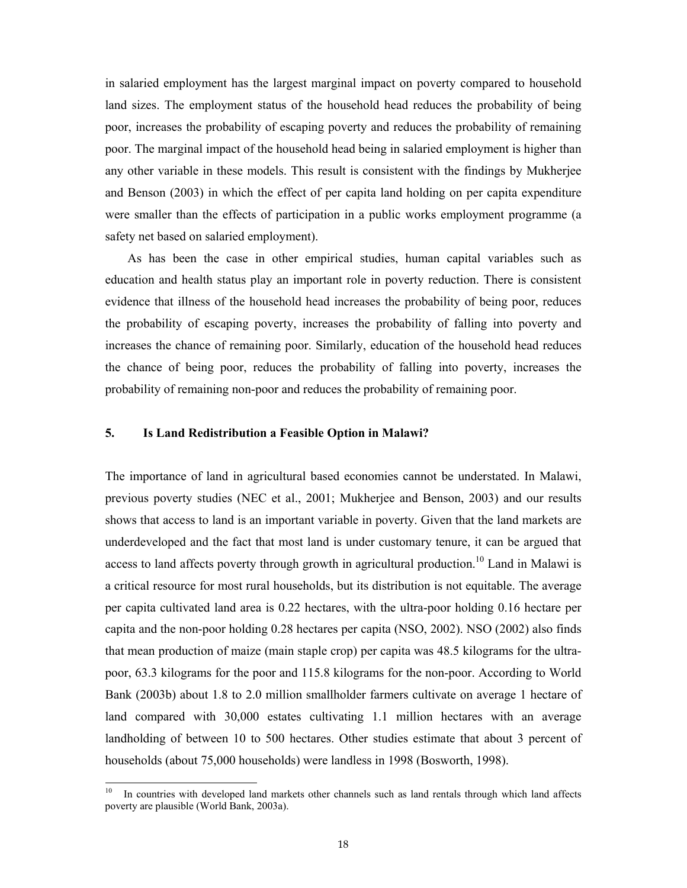in salaried employment has the largest marginal impact on poverty compared to household land sizes. The employment status of the household head reduces the probability of being poor, increases the probability of escaping poverty and reduces the probability of remaining poor. The marginal impact of the household head being in salaried employment is higher than any other variable in these models. This result is consistent with the findings by Mukherjee and Benson (2003) in which the effect of per capita land holding on per capita expenditure were smaller than the effects of participation in a public works employment programme (a safety net based on salaried employment).

As has been the case in other empirical studies, human capital variables such as education and health status play an important role in poverty reduction. There is consistent evidence that illness of the household head increases the probability of being poor, reduces the probability of escaping poverty, increases the probability of falling into poverty and increases the chance of remaining poor. Similarly, education of the household head reduces the chance of being poor, reduces the probability of falling into poverty, increases the probability of remaining non-poor and reduces the probability of remaining poor.

#### **5. Is Land Redistribution a Feasible Option in Malawi?**

The importance of land in agricultural based economies cannot be understated. In Malawi, previous poverty studies (NEC et al., 2001; Mukherjee and Benson, 2003) and our results shows that access to land is an important variable in poverty. Given that the land markets are underdeveloped and the fact that most land is under customary tenure, it can be argued that access to land affects poverty through growth in agricultural production.<sup>10</sup> Land in Malawi is a critical resource for most rural households, but its distribution is not equitable. The average per capita cultivated land area is 0.22 hectares, with the ultra-poor holding 0.16 hectare per capita and the non-poor holding 0.28 hectares per capita (NSO, 2002). NSO (2002) also finds that mean production of maize (main staple crop) per capita was 48.5 kilograms for the ultrapoor, 63.3 kilograms for the poor and 115.8 kilograms for the non-poor. According to World Bank (2003b) about 1.8 to 2.0 million smallholder farmers cultivate on average 1 hectare of land compared with 30,000 estates cultivating 1.1 million hectares with an average landholding of between 10 to 500 hectares. Other studies estimate that about 3 percent of households (about 75,000 households) were landless in 1998 (Bosworth, 1998).

 $10\,$ 10 In countries with developed land markets other channels such as land rentals through which land affects poverty are plausible (World Bank, 2003a).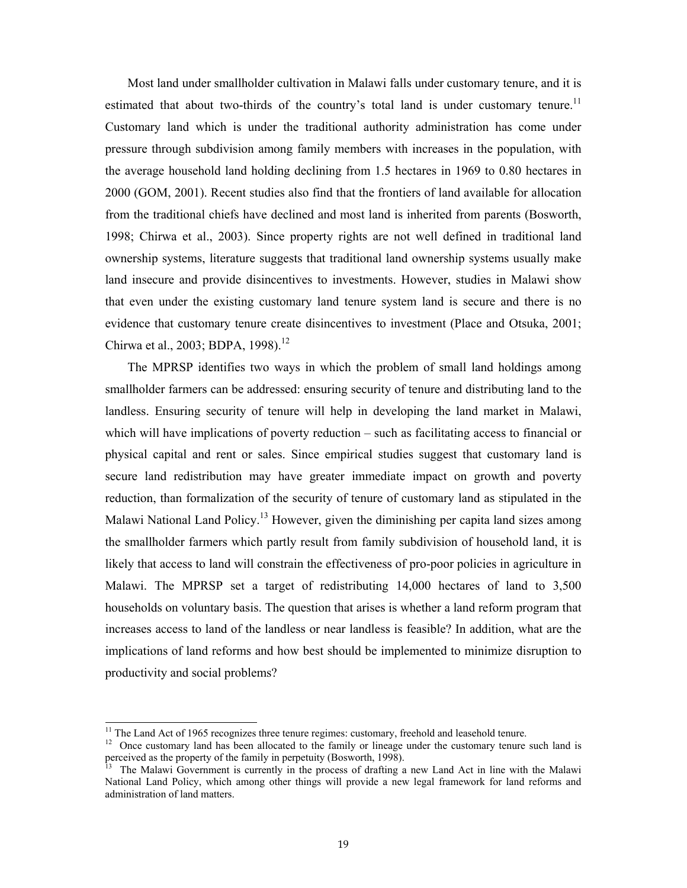Most land under smallholder cultivation in Malawi falls under customary tenure, and it is estimated that about two-thirds of the country's total land is under customary tenure.<sup>11</sup> Customary land which is under the traditional authority administration has come under pressure through subdivision among family members with increases in the population, with the average household land holding declining from 1.5 hectares in 1969 to 0.80 hectares in 2000 (GOM, 2001). Recent studies also find that the frontiers of land available for allocation from the traditional chiefs have declined and most land is inherited from parents (Bosworth, 1998; Chirwa et al., 2003). Since property rights are not well defined in traditional land ownership systems, literature suggests that traditional land ownership systems usually make land insecure and provide disincentives to investments. However, studies in Malawi show that even under the existing customary land tenure system land is secure and there is no evidence that customary tenure create disincentives to investment (Place and Otsuka, 2001; Chirwa et al., 2003; BDPA, 1998).<sup>12</sup>

The MPRSP identifies two ways in which the problem of small land holdings among smallholder farmers can be addressed: ensuring security of tenure and distributing land to the landless. Ensuring security of tenure will help in developing the land market in Malawi, which will have implications of poverty reduction – such as facilitating access to financial or physical capital and rent or sales. Since empirical studies suggest that customary land is secure land redistribution may have greater immediate impact on growth and poverty reduction, than formalization of the security of tenure of customary land as stipulated in the Malawi National Land Policy.<sup>13</sup> However, given the diminishing per capita land sizes among the smallholder farmers which partly result from family subdivision of household land, it is likely that access to land will constrain the effectiveness of pro-poor policies in agriculture in Malawi. The MPRSP set a target of redistributing 14,000 hectares of land to 3,500 households on voluntary basis. The question that arises is whether a land reform program that increases access to land of the landless or near landless is feasible? In addition, what are the implications of land reforms and how best should be implemented to minimize disruption to productivity and social problems?

<sup>&</sup>lt;sup>11</sup> The Land Act of 1965 recognizes three tenure regimes: customary, freehold and leasehold tenure.

<sup>&</sup>lt;sup>12</sup> Once customary land has been allocated to the family or lineage under the customary tenure such land is perceived as the property of the family in perpetuity (Bosworth, 1998).

<sup>13</sup> The Malawi Government is currently in the process of drafting a new Land Act in line with the Malawi National Land Policy, which among other things will provide a new legal framework for land reforms and administration of land matters.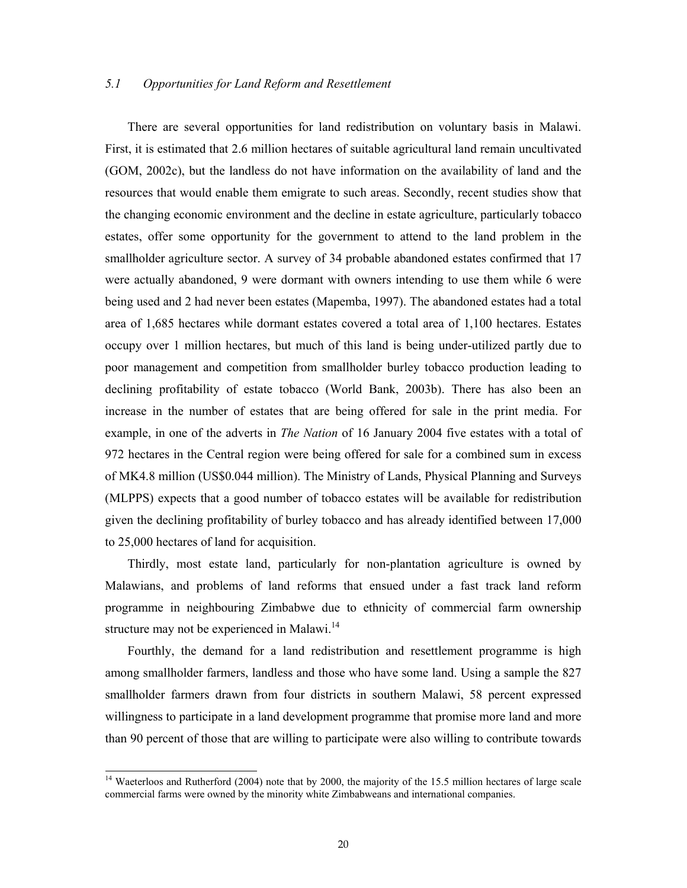# *5.1 Opportunities for Land Reform and Resettlement*

There are several opportunities for land redistribution on voluntary basis in Malawi. First, it is estimated that 2.6 million hectares of suitable agricultural land remain uncultivated (GOM, 2002c), but the landless do not have information on the availability of land and the resources that would enable them emigrate to such areas. Secondly, recent studies show that the changing economic environment and the decline in estate agriculture, particularly tobacco estates, offer some opportunity for the government to attend to the land problem in the smallholder agriculture sector. A survey of 34 probable abandoned estates confirmed that 17 were actually abandoned, 9 were dormant with owners intending to use them while 6 were being used and 2 had never been estates (Mapemba, 1997). The abandoned estates had a total area of 1,685 hectares while dormant estates covered a total area of 1,100 hectares. Estates occupy over 1 million hectares, but much of this land is being under-utilized partly due to poor management and competition from smallholder burley tobacco production leading to declining profitability of estate tobacco (World Bank, 2003b). There has also been an increase in the number of estates that are being offered for sale in the print media. For example, in one of the adverts in *The Nation* of 16 January 2004 five estates with a total of 972 hectares in the Central region were being offered for sale for a combined sum in excess of MK4.8 million (US\$0.044 million). The Ministry of Lands, Physical Planning and Surveys (MLPPS) expects that a good number of tobacco estates will be available for redistribution given the declining profitability of burley tobacco and has already identified between 17,000 to 25,000 hectares of land for acquisition.

Thirdly, most estate land, particularly for non-plantation agriculture is owned by Malawians, and problems of land reforms that ensued under a fast track land reform programme in neighbouring Zimbabwe due to ethnicity of commercial farm ownership structure may not be experienced in Malawi.<sup>14</sup>

Fourthly, the demand for a land redistribution and resettlement programme is high among smallholder farmers, landless and those who have some land. Using a sample the 827 smallholder farmers drawn from four districts in southern Malawi, 58 percent expressed willingness to participate in a land development programme that promise more land and more than 90 percent of those that are willing to participate were also willing to contribute towards

<sup>&</sup>lt;sup>14</sup> Waeterloos and Rutherford (2004) note that by 2000, the majority of the 15.5 million hectares of large scale commercial farms were owned by the minority white Zimbabweans and international companies.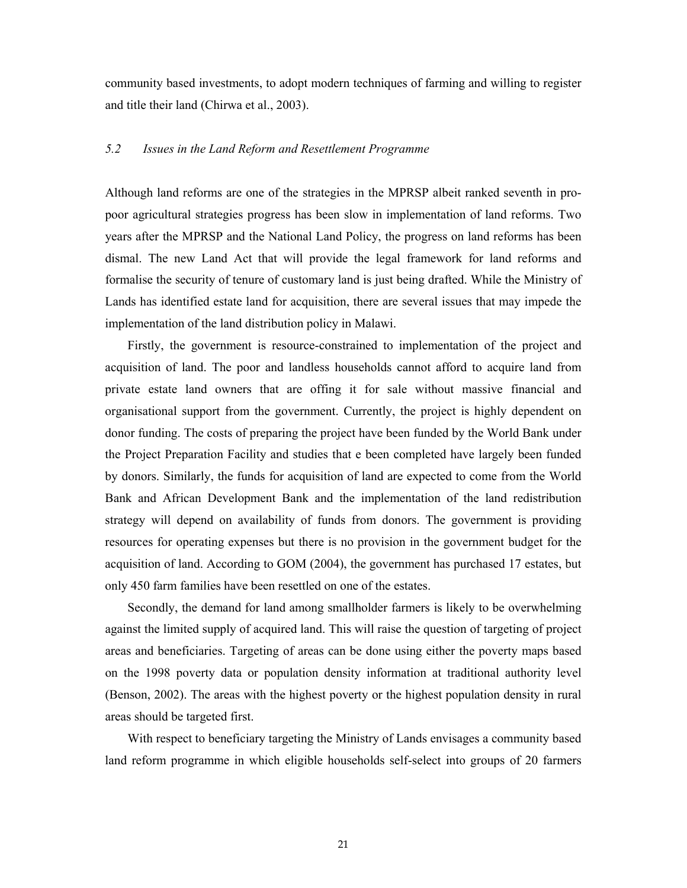community based investments, to adopt modern techniques of farming and willing to register and title their land (Chirwa et al., 2003).

# *5.2 Issues in the Land Reform and Resettlement Programme*

Although land reforms are one of the strategies in the MPRSP albeit ranked seventh in propoor agricultural strategies progress has been slow in implementation of land reforms. Two years after the MPRSP and the National Land Policy, the progress on land reforms has been dismal. The new Land Act that will provide the legal framework for land reforms and formalise the security of tenure of customary land is just being drafted. While the Ministry of Lands has identified estate land for acquisition, there are several issues that may impede the implementation of the land distribution policy in Malawi.

Firstly, the government is resource-constrained to implementation of the project and acquisition of land. The poor and landless households cannot afford to acquire land from private estate land owners that are offing it for sale without massive financial and organisational support from the government. Currently, the project is highly dependent on donor funding. The costs of preparing the project have been funded by the World Bank under the Project Preparation Facility and studies that e been completed have largely been funded by donors. Similarly, the funds for acquisition of land are expected to come from the World Bank and African Development Bank and the implementation of the land redistribution strategy will depend on availability of funds from donors. The government is providing resources for operating expenses but there is no provision in the government budget for the acquisition of land. According to GOM (2004), the government has purchased 17 estates, but only 450 farm families have been resettled on one of the estates.

Secondly, the demand for land among smallholder farmers is likely to be overwhelming against the limited supply of acquired land. This will raise the question of targeting of project areas and beneficiaries. Targeting of areas can be done using either the poverty maps based on the 1998 poverty data or population density information at traditional authority level (Benson, 2002). The areas with the highest poverty or the highest population density in rural areas should be targeted first.

With respect to beneficiary targeting the Ministry of Lands envisages a community based land reform programme in which eligible households self-select into groups of 20 farmers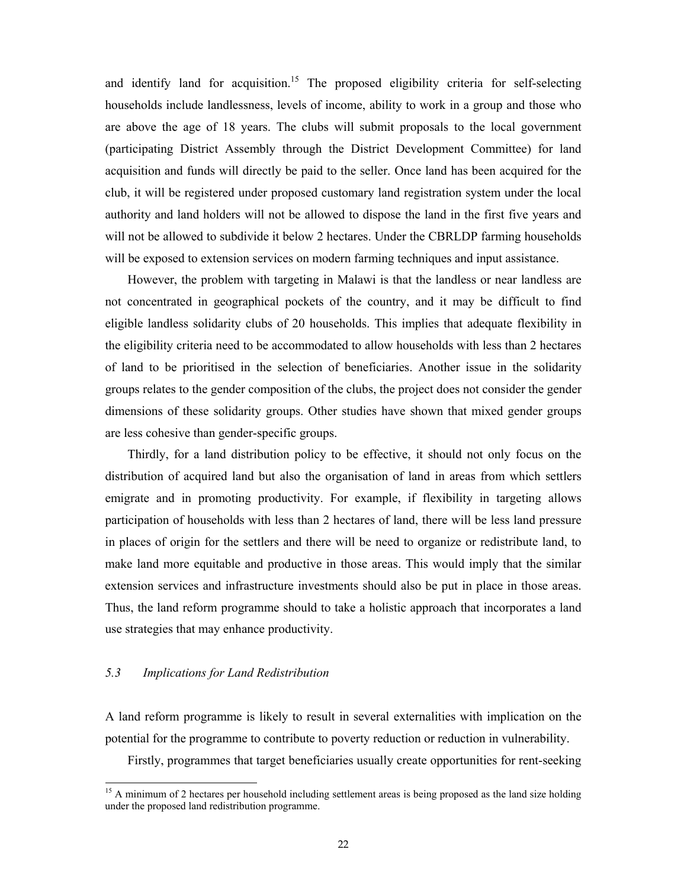and identify land for acquisition.<sup>15</sup> The proposed eligibility criteria for self-selecting households include landlessness, levels of income, ability to work in a group and those who are above the age of 18 years. The clubs will submit proposals to the local government (participating District Assembly through the District Development Committee) for land acquisition and funds will directly be paid to the seller. Once land has been acquired for the club, it will be registered under proposed customary land registration system under the local authority and land holders will not be allowed to dispose the land in the first five years and will not be allowed to subdivide it below 2 hectares. Under the CBRLDP farming households will be exposed to extension services on modern farming techniques and input assistance.

However, the problem with targeting in Malawi is that the landless or near landless are not concentrated in geographical pockets of the country, and it may be difficult to find eligible landless solidarity clubs of 20 households. This implies that adequate flexibility in the eligibility criteria need to be accommodated to allow households with less than 2 hectares of land to be prioritised in the selection of beneficiaries. Another issue in the solidarity groups relates to the gender composition of the clubs, the project does not consider the gender dimensions of these solidarity groups. Other studies have shown that mixed gender groups are less cohesive than gender-specific groups.

Thirdly, for a land distribution policy to be effective, it should not only focus on the distribution of acquired land but also the organisation of land in areas from which settlers emigrate and in promoting productivity. For example, if flexibility in targeting allows participation of households with less than 2 hectares of land, there will be less land pressure in places of origin for the settlers and there will be need to organize or redistribute land, to make land more equitable and productive in those areas. This would imply that the similar extension services and infrastructure investments should also be put in place in those areas. Thus, the land reform programme should to take a holistic approach that incorporates a land use strategies that may enhance productivity.

### *5.3 Implications for Land Redistribution*

-

A land reform programme is likely to result in several externalities with implication on the potential for the programme to contribute to poverty reduction or reduction in vulnerability.

Firstly, programmes that target beneficiaries usually create opportunities for rent-seeking

<sup>&</sup>lt;sup>15</sup> A minimum of 2 hectares per household including settlement areas is being proposed as the land size holding under the proposed land redistribution programme.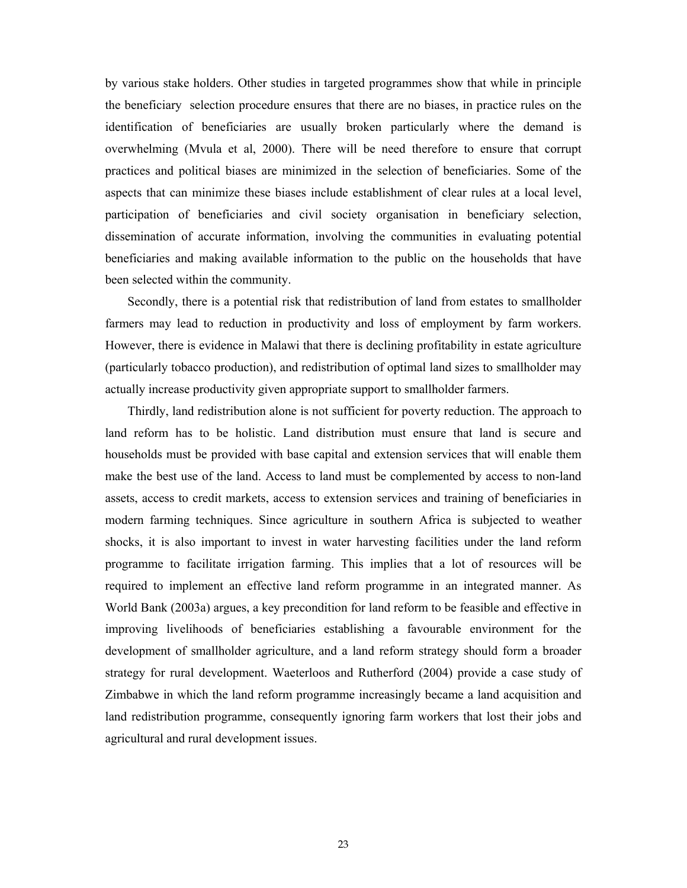by various stake holders. Other studies in targeted programmes show that while in principle the beneficiary selection procedure ensures that there are no biases, in practice rules on the identification of beneficiaries are usually broken particularly where the demand is overwhelming (Mvula et al, 2000). There will be need therefore to ensure that corrupt practices and political biases are minimized in the selection of beneficiaries. Some of the aspects that can minimize these biases include establishment of clear rules at a local level, participation of beneficiaries and civil society organisation in beneficiary selection, dissemination of accurate information, involving the communities in evaluating potential beneficiaries and making available information to the public on the households that have been selected within the community.

Secondly, there is a potential risk that redistribution of land from estates to smallholder farmers may lead to reduction in productivity and loss of employment by farm workers. However, there is evidence in Malawi that there is declining profitability in estate agriculture (particularly tobacco production), and redistribution of optimal land sizes to smallholder may actually increase productivity given appropriate support to smallholder farmers.

Thirdly, land redistribution alone is not sufficient for poverty reduction. The approach to land reform has to be holistic. Land distribution must ensure that land is secure and households must be provided with base capital and extension services that will enable them make the best use of the land. Access to land must be complemented by access to non-land assets, access to credit markets, access to extension services and training of beneficiaries in modern farming techniques. Since agriculture in southern Africa is subjected to weather shocks, it is also important to invest in water harvesting facilities under the land reform programme to facilitate irrigation farming. This implies that a lot of resources will be required to implement an effective land reform programme in an integrated manner. As World Bank (2003a) argues, a key precondition for land reform to be feasible and effective in improving livelihoods of beneficiaries establishing a favourable environment for the development of smallholder agriculture, and a land reform strategy should form a broader strategy for rural development. Waeterloos and Rutherford (2004) provide a case study of Zimbabwe in which the land reform programme increasingly became a land acquisition and land redistribution programme, consequently ignoring farm workers that lost their jobs and agricultural and rural development issues.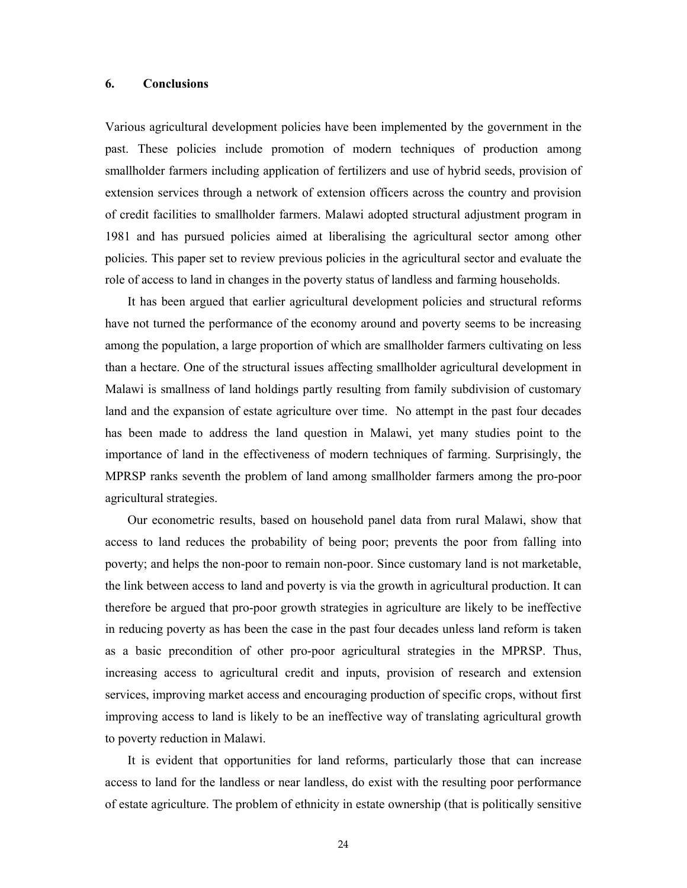#### **6. Conclusions**

Various agricultural development policies have been implemented by the government in the past. These policies include promotion of modern techniques of production among smallholder farmers including application of fertilizers and use of hybrid seeds, provision of extension services through a network of extension officers across the country and provision of credit facilities to smallholder farmers. Malawi adopted structural adjustment program in 1981 and has pursued policies aimed at liberalising the agricultural sector among other policies. This paper set to review previous policies in the agricultural sector and evaluate the role of access to land in changes in the poverty status of landless and farming households.

It has been argued that earlier agricultural development policies and structural reforms have not turned the performance of the economy around and poverty seems to be increasing among the population, a large proportion of which are smallholder farmers cultivating on less than a hectare. One of the structural issues affecting smallholder agricultural development in Malawi is smallness of land holdings partly resulting from family subdivision of customary land and the expansion of estate agriculture over time. No attempt in the past four decades has been made to address the land question in Malawi, yet many studies point to the importance of land in the effectiveness of modern techniques of farming. Surprisingly, the MPRSP ranks seventh the problem of land among smallholder farmers among the pro-poor agricultural strategies.

Our econometric results, based on household panel data from rural Malawi, show that access to land reduces the probability of being poor; prevents the poor from falling into poverty; and helps the non-poor to remain non-poor. Since customary land is not marketable, the link between access to land and poverty is via the growth in agricultural production. It can therefore be argued that pro-poor growth strategies in agriculture are likely to be ineffective in reducing poverty as has been the case in the past four decades unless land reform is taken as a basic precondition of other pro-poor agricultural strategies in the MPRSP. Thus, increasing access to agricultural credit and inputs, provision of research and extension services, improving market access and encouraging production of specific crops, without first improving access to land is likely to be an ineffective way of translating agricultural growth to poverty reduction in Malawi.

It is evident that opportunities for land reforms, particularly those that can increase access to land for the landless or near landless, do exist with the resulting poor performance of estate agriculture. The problem of ethnicity in estate ownership (that is politically sensitive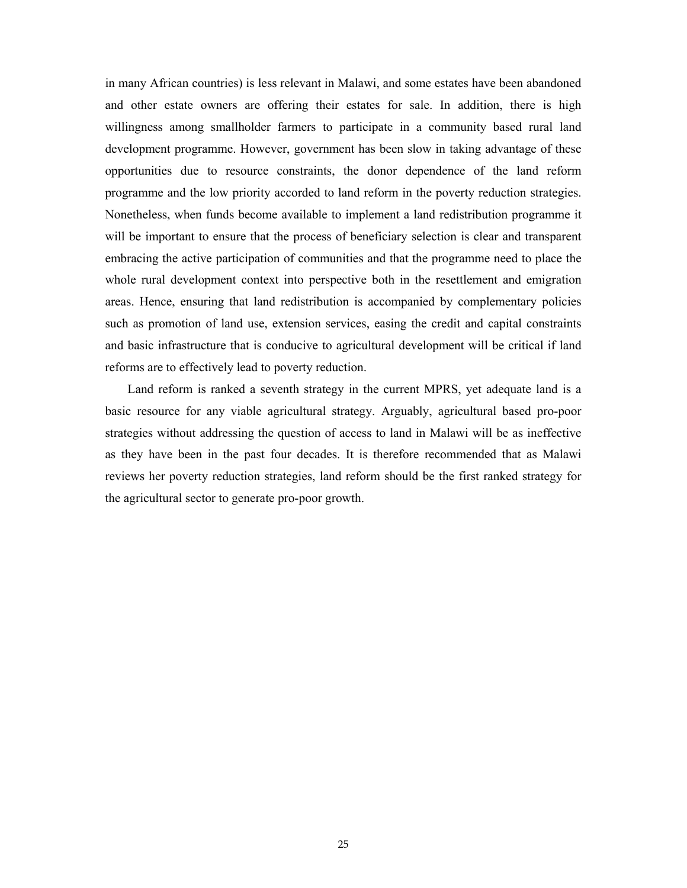in many African countries) is less relevant in Malawi, and some estates have been abandoned and other estate owners are offering their estates for sale. In addition, there is high willingness among smallholder farmers to participate in a community based rural land development programme. However, government has been slow in taking advantage of these opportunities due to resource constraints, the donor dependence of the land reform programme and the low priority accorded to land reform in the poverty reduction strategies. Nonetheless, when funds become available to implement a land redistribution programme it will be important to ensure that the process of beneficiary selection is clear and transparent embracing the active participation of communities and that the programme need to place the whole rural development context into perspective both in the resettlement and emigration areas. Hence, ensuring that land redistribution is accompanied by complementary policies such as promotion of land use, extension services, easing the credit and capital constraints and basic infrastructure that is conducive to agricultural development will be critical if land reforms are to effectively lead to poverty reduction.

Land reform is ranked a seventh strategy in the current MPRS, yet adequate land is a basic resource for any viable agricultural strategy. Arguably, agricultural based pro-poor strategies without addressing the question of access to land in Malawi will be as ineffective as they have been in the past four decades. It is therefore recommended that as Malawi reviews her poverty reduction strategies, land reform should be the first ranked strategy for the agricultural sector to generate pro-poor growth.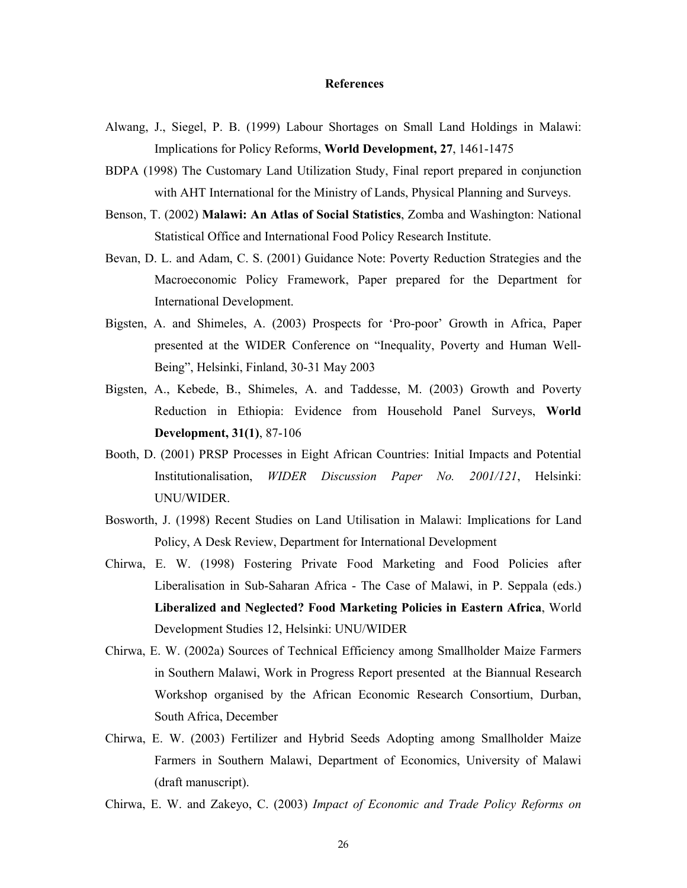#### **References**

- Alwang, J., Siegel, P. B. (1999) Labour Shortages on Small Land Holdings in Malawi: Implications for Policy Reforms, **World Development, 27**, 1461-1475
- BDPA (1998) The Customary Land Utilization Study, Final report prepared in conjunction with AHT International for the Ministry of Lands, Physical Planning and Surveys.
- Benson, T. (2002) **Malawi: An Atlas of Social Statistics**, Zomba and Washington: National Statistical Office and International Food Policy Research Institute.
- Bevan, D. L. and Adam, C. S. (2001) Guidance Note: Poverty Reduction Strategies and the Macroeconomic Policy Framework, Paper prepared for the Department for International Development.
- Bigsten, A. and Shimeles, A. (2003) Prospects for 'Pro-poor' Growth in Africa, Paper presented at the WIDER Conference on "Inequality, Poverty and Human Well-Being", Helsinki, Finland, 30-31 May 2003
- Bigsten, A., Kebede, B., Shimeles, A. and Taddesse, M. (2003) Growth and Poverty Reduction in Ethiopia: Evidence from Household Panel Surveys, **World Development, 31(1)**, 87-106
- Booth, D. (2001) PRSP Processes in Eight African Countries: Initial Impacts and Potential Institutionalisation, *WIDER Discussion Paper No. 2001/121*, Helsinki: UNU/WIDER.
- Bosworth, J. (1998) Recent Studies on Land Utilisation in Malawi: Implications for Land Policy, A Desk Review, Department for International Development
- Chirwa, E. W. (1998) Fostering Private Food Marketing and Food Policies after Liberalisation in Sub-Saharan Africa - The Case of Malawi, in P. Seppala (eds.) **Liberalized and Neglected? Food Marketing Policies in Eastern Africa**, World Development Studies 12, Helsinki: UNU/WIDER
- Chirwa, E. W. (2002a) Sources of Technical Efficiency among Smallholder Maize Farmers in Southern Malawi, Work in Progress Report presented at the Biannual Research Workshop organised by the African Economic Research Consortium, Durban, South Africa, December
- Chirwa, E. W. (2003) Fertilizer and Hybrid Seeds Adopting among Smallholder Maize Farmers in Southern Malawi, Department of Economics, University of Malawi (draft manuscript).
- Chirwa, E. W. and Zakeyo, C. (2003) *Impact of Economic and Trade Policy Reforms on*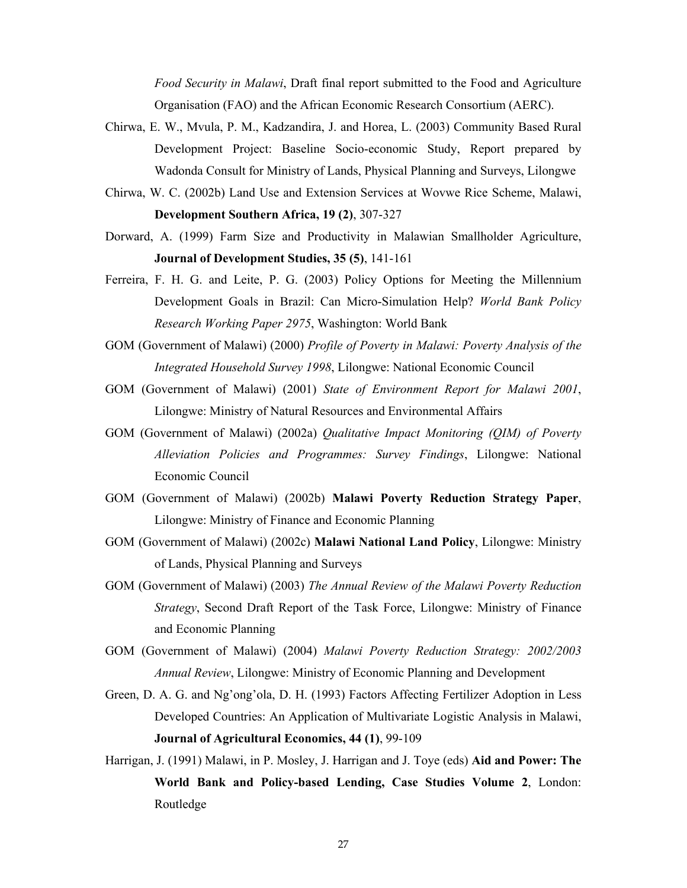*Food Security in Malawi*, Draft final report submitted to the Food and Agriculture Organisation (FAO) and the African Economic Research Consortium (AERC).

- Chirwa, E. W., Mvula, P. M., Kadzandira, J. and Horea, L. (2003) Community Based Rural Development Project: Baseline Socio-economic Study, Report prepared by Wadonda Consult for Ministry of Lands, Physical Planning and Surveys, Lilongwe
- Chirwa, W. C. (2002b) Land Use and Extension Services at Wovwe Rice Scheme, Malawi, **Development Southern Africa, 19 (2)**, 307-327
- Dorward, A. (1999) Farm Size and Productivity in Malawian Smallholder Agriculture, **Journal of Development Studies, 35 (5)**, 141-161
- Ferreira, F. H. G. and Leite, P. G. (2003) Policy Options for Meeting the Millennium Development Goals in Brazil: Can Micro-Simulation Help? *World Bank Policy Research Working Paper 2975*, Washington: World Bank
- GOM (Government of Malawi) (2000) *Profile of Poverty in Malawi: Poverty Analysis of the Integrated Household Survey 1998*, Lilongwe: National Economic Council
- GOM (Government of Malawi) (2001) *State of Environment Report for Malawi 2001*, Lilongwe: Ministry of Natural Resources and Environmental Affairs
- GOM (Government of Malawi) (2002a) *Qualitative Impact Monitoring (QIM) of Poverty Alleviation Policies and Programmes: Survey Findings*, Lilongwe: National Economic Council
- GOM (Government of Malawi) (2002b) **Malawi Poverty Reduction Strategy Paper**, Lilongwe: Ministry of Finance and Economic Planning
- GOM (Government of Malawi) (2002c) **Malawi National Land Policy**, Lilongwe: Ministry of Lands, Physical Planning and Surveys
- GOM (Government of Malawi) (2003) *The Annual Review of the Malawi Poverty Reduction Strategy*, Second Draft Report of the Task Force, Lilongwe: Ministry of Finance and Economic Planning
- GOM (Government of Malawi) (2004) *Malawi Poverty Reduction Strategy: 2002/2003 Annual Review*, Lilongwe: Ministry of Economic Planning and Development
- Green, D. A. G. and Ng'ong'ola, D. H. (1993) Factors Affecting Fertilizer Adoption in Less Developed Countries: An Application of Multivariate Logistic Analysis in Malawi, **Journal of Agricultural Economics, 44 (1)**, 99-109
- Harrigan, J. (1991) Malawi, in P. Mosley, J. Harrigan and J. Toye (eds) **Aid and Power: The World Bank and Policy-based Lending, Case Studies Volume 2**, London: Routledge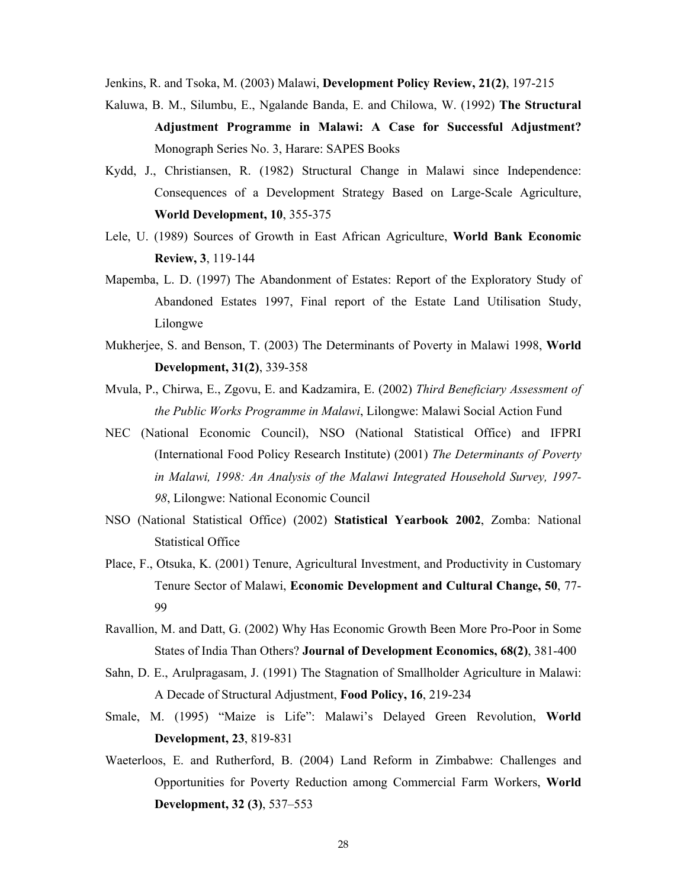Jenkins, R. and Tsoka, M. (2003) Malawi, **Development Policy Review, 21(2)**, 197-215

- Kaluwa, B. M., Silumbu, E., Ngalande Banda, E. and Chilowa, W. (1992) **The Structural Adjustment Programme in Malawi: A Case for Successful Adjustment?** Monograph Series No. 3, Harare: SAPES Books
- Kydd, J., Christiansen, R. (1982) Structural Change in Malawi since Independence: Consequences of a Development Strategy Based on Large-Scale Agriculture, **World Development, 10**, 355-375
- Lele, U. (1989) Sources of Growth in East African Agriculture, **World Bank Economic Review, 3**, 119-144
- Mapemba, L. D. (1997) The Abandonment of Estates: Report of the Exploratory Study of Abandoned Estates 1997, Final report of the Estate Land Utilisation Study, Lilongwe
- Mukherjee, S. and Benson, T. (2003) The Determinants of Poverty in Malawi 1998, **World Development, 31(2)**, 339-358
- Mvula, P., Chirwa, E., Zgovu, E. and Kadzamira, E. (2002) *Third Beneficiary Assessment of the Public Works Programme in Malawi*, Lilongwe: Malawi Social Action Fund
- NEC (National Economic Council), NSO (National Statistical Office) and IFPRI (International Food Policy Research Institute) (2001) *The Determinants of Poverty in Malawi, 1998: An Analysis of the Malawi Integrated Household Survey, 1997- 98*, Lilongwe: National Economic Council
- NSO (National Statistical Office) (2002) **Statistical Yearbook 2002**, Zomba: National Statistical Office
- Place, F., Otsuka, K. (2001) Tenure, Agricultural Investment, and Productivity in Customary Tenure Sector of Malawi, **Economic Development and Cultural Change, 50**, 77- 99
- Ravallion, M. and Datt, G. (2002) Why Has Economic Growth Been More Pro-Poor in Some States of India Than Others? **Journal of Development Economics, 68(2)**, 381-400
- Sahn, D. E., Arulpragasam, J. (1991) The Stagnation of Smallholder Agriculture in Malawi: A Decade of Structural Adjustment, **Food Policy, 16**, 219-234
- Smale, M. (1995) "Maize is Life": Malawi's Delayed Green Revolution, **World Development, 23**, 819-831
- Waeterloos, E. and Rutherford, B. (2004) Land Reform in Zimbabwe: Challenges and Opportunities for Poverty Reduction among Commercial Farm Workers, **World Development, 32 (3)**, 537–553